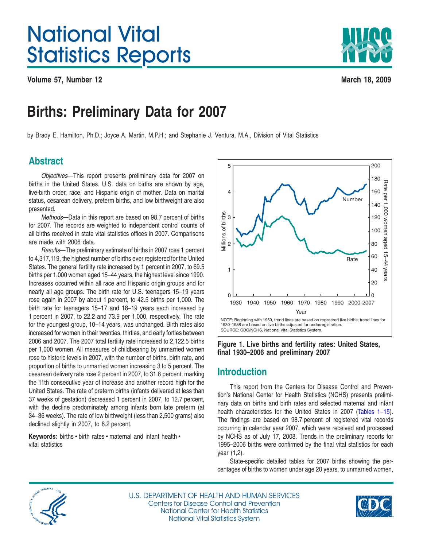# <span id="page-0-0"></span>National Vital Statistics Reports

**Volume 57, Number 12 March 18, 2009**



## **Births: Preliminary Data for 2007**

by Brady E. Hamilton, Ph.D.; Joyce A. Martin, M.P.H.; and Stephanie J. Ventura, M.A., Division of Vital Statistics

## **Abstract**

*Objectives*—This report presents preliminary data for 2007 on births in the United States. U.S. data on births are shown by age, live-birth order, race, and Hispanic origin of mother. Data on marital status, cesarean delivery, preterm births, and low birthweight are also presented.

*Methods*—Data in this report are based on 98.7 percent of births for 2007. The records are weighted to independent control counts of all births received in state vital statistics offices in 2007. Comparisons are made with 2006 data.

*Results*—The preliminary estimate of births in 2007 rose 1 percent to 4,317,119, the highest number of births ever registered for the United States. The general fertility rate increased by 1 percent in 2007, to 69.5 births per 1,000 women aged 15–44 years, the highest level since 1990. Increases occurred within all race and Hispanic origin groups and for nearly all age groups. The birth rate for U.S. teenagers 15–19 years rose again in 2007 by about 1 percent, to 42.5 births per 1,000. The birth rate for teenagers 15–17 and 18–19 years each increased by 1 percent in 2007, to 22.2 and 73.9 per 1,000, respectively. The rate for the youngest group, 10–14 years, was unchanged. Birth rates also increased for women in their twenties, thirties, and early forties between 2006 and 2007. The 2007 total fertility rate increased to 2,122.5 births per 1,000 women. All measures of childbearing by unmarried women rose to historic levels in 2007, with the number of births, birth rate, and proportion of births to unmarried women increasing 3 to 5 percent. The cesarean delivery rate rose 2 percent in 2007, to 31.8 percent, marking the 11th consecutive year of increase and another record high for the United States. The rate of preterm births (infants delivered at less than 37 weeks of gestation) decreased 1 percent in 2007, to 12.7 percent, with the decline predominately among infants born late preterm (at 34–36 weeks). The rate of low birthweight (less than 2,500 grams) also declined slightly in 2007, to 8.2 percent.

Keywords: births · birth rates · maternal and infant health · vital statistics



**Figure 1. Live births and fertility rates: United States, final 1930–2006 and preliminary 2007**

## **Introduction**

This report from the Centers for Disease Control and Prevention's National Center for Health Statistics (NCHS) presents preliminary data on births and birth rates and selected maternal and infant health characteristics for the United States in 2007 [\(Tables](#page-5-0) 1-15). The findings are based on 98.7 percent of registered vital records occurring in calendar year 2007, which were received and processed by NCHS as of July 17, 2008. Trends in the preliminary reports for 1995–2006 births were confirmed by the final vital statistics for each year (1,2).

State-specific detailed tables for 2007 births showing the percentages of births to women under age 20 years, to unmarried women,



U.S. DEPARTMENT OF HEALTH AND HUMAN SERVICES Centers for Disease Control and Prevention National Center for Health Statistics National Vital Statistics System

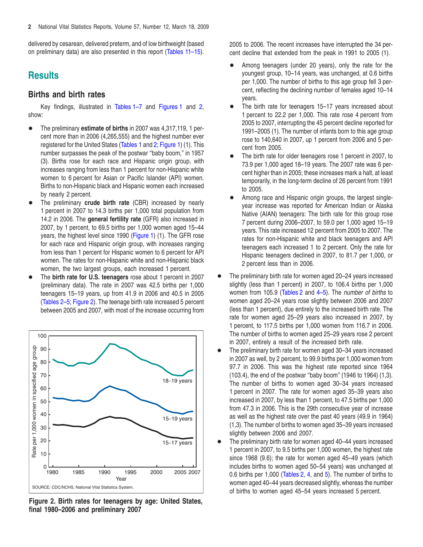<span id="page-1-0"></span>delivered by cesarean, delivered preterm, and of low birthweight (based on preliminary data) are also presented in this report [\(Tables](#page-15-0) 11[–15\).](#page-19-0)

## **Results**

## **Births and birth rates**

Key findings, illustrated in [Tables](#page-5-0) 1[–7](#page-12-0) and [Figures](#page-0-0) 1 and 2, show:

- The preliminary **estimate of births** in 2007 was 4,317,119, 1 percent more than in 2006 (4,265,555) and the [hig](#page-6-0)hest number ever registered for the United States [\(Tables](#page-5-0) 1 and 2; [Figure](#page-0-0) 1) (1). This number surpasses the peak of the postwar ''baby boom,'' in 1957 (3). Births rose for each race and Hispanic origin group, with increases ranging from less than 1 percent for non-Hispanic white women to 6 percent for Asian or Pacific Islander (API) women. Births to non-Hispanic black and Hispanic women each increased by nearly 2 percent.
- The preliminary **crude birth rate** (CBR) increased by nearly 1 percent in 2007 to 14.3 births per 1,000 total population from 14.2 in 2006. The **general fertility rate** (GFR) also increased in 2007, by 1 percent, to 69.5 births per 1,000 women aged 15–44 years, the highest level since 1990 [\(Figure](#page-0-0) 1) (1). The GFR rose for each race and Hispanic origin group, with increases ranging from less than 1 percent for Hispanic women to 6 percent for API women. The rates for non-Hispanic white and non-Hispanic black women, the two largest groups, each increased 1 percent.
- The **birth rate for U.S. teenagers** rose about 1 percent in 2007 (preliminary data). The rate in 2007 was 42.5 births per 1,000 teenagers 15–19 years, up from 41.9 in 2006 and 40.5 in 2005 [\(Tables](#page-6-0) 2–[5;](#page-10-0) Figure 2). The teenage birth rate increased 5 percent between 2005 and 2007, with most of the increase occurring from



**Figure 2. Birth rates for teenagers by age: United States, final 1980–2006 and preliminary 2007**

2005 to 2006. The recent increases have interrupted the 34 percent decline that extended from the peak in 1991 to 2005 (1).

- Among teenagers (under 20 years), only the rate for the youngest group, 10–14 years, was unchanged, at 0.6 births per 1,000. The number of births to this age group fell 3 percent, reflecting the declining number of females aged 10–14 years.
- The birth rate for teenagers 15–17 years increased about 1 percent to 22.2 per 1,000. This rate rose 4 percent from 2005 to 2007, interrupting the 45 percent decline reported for 1991–2005 (1). The number of infants born to this age group rose to 140,640 in 2007, up 1 percent from 2006 and 5 percent from 2005.
- The birth rate for older teenagers rose 1 percent in 2007, to 73.9 per 1,000 aged 18–19 years. The 2007 rate was 6 percent higher than in 2005; these increases mark a halt, at least temporarily, in the long-term decline of 26 percent from 1991 to 2005.
- Among race and Hispanic origin groups, the largest singleyear increase was reported for American Indian or Alaska Native (AIAN) teenagers: The birth rate for this group rose 7 percent during 2006–2007, to 59.0 per 1,000 aged 15–19 years. This rate increased 12 percent from 2005 to 2007. The rates for non-Hispanic white and black teenagers and API teenagers each increased 1 to 2 percent. Only the rate for Hispanic teenagers declined in 2007, to 81.7 per 1,000, or 2 percent less than in 2006.
- The preliminary birth rate for women aged 20–24 years increased slightly (less than 1 percent) in [2007](#page-9-0), to 106.4 births per 1,000 women from 105.9 [\(Tables](#page-6-0) 2 and 4–[5\).](#page-10-0) The *number of births* to women aged 20–24 years rose slightly between 2006 and 2007 (less than 1 percent), due entirely to the increased birth rate. The rate for women aged 25–29 years also increased in 2007, by 1 percent, to 117.5 births per 1,000 women from 116.7 in 2006. The number of births to women aged 25–29 years rose 2 percent in 2007, entirely a result of the increased birth rate.
- The preliminary birth rate for women aged 30–34 years increased in 2007 as well, by 2 percent, to 99.9 births per 1,000 women from 97.7 in 2006. This was the highest rate reported since 1964 (103.4), the end of the postwar ''baby boom'' (1946 to 1964) (1,3). The number of births to women aged 30–34 years increased 1 percent in 2007. The rate for women aged 35–39 years also increased in 2007, by less than 1 percent, to 47.5 births per 1,000 from 47.3 in 2006. This is the 29th consecutive year of increase as well as the highest rate over the past 40 years (49.9 in 1964) (1,3). The number of births to women aged 35–39 years increased slightly between 2006 and 2007.
- The preliminary birth rate for women aged 40–44 years increased 1 percent in 2007, to 9.5 births per 1,000 women, the highest rate since 1968 (9.6); the rate for women aged 45–49 years (which includes births to women aged 50–54 years) was unchanged at 0.6 births per 1,000 [\(Tables](#page-6-0) 2, 4, and [5\)](#page-10-0). The number of births to women aged 40–44 years decr[ease](#page-9-0)d slightly, whereas the number of births to women aged 45–54 years increased 5 percent.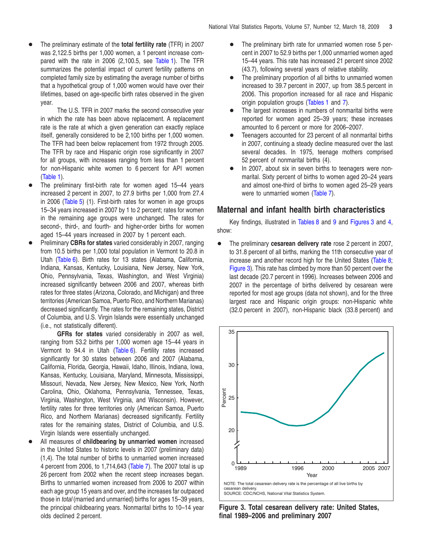<span id="page-2-0"></span>+ The preliminary estimate of the **total fertility rate** (TFR) in 2007 was 2,122.5 births per 1,000 women, a 1 percent increase compared with the rate in 2006 (2,100.5, see [Table](#page-5-0) 1). The TFR summarizes the potential impact of current fertility patterns on completed family size by estimating the average number of births that a hypothetical group of 1,000 women would have over their lifetimes, based on age-specific birth rates observed in the given year.

The U.S. TFR in 2007 marks the second consecutive year in which the rate has been above replacement. A replacement rate is the rate at which a given generation can exactly replace itself, generally considered to be 2,100 births per 1,000 women. The TFR had been below replacement from 1972 through 2005. The TFR by race and Hispanic origin rose significantly in 2007 for all groups, with increases ranging from less than 1 percent for non-Hispanic white women to 6 percent for API women [\(Table](#page-5-0) 1).

- The preliminary first-birth rate for women aged 15–44 years increased 2 percent in 2007, to 27.9 births per 1,000 from 27.4 in 2006 [\(Table](#page-10-0) 5) (1). First-birth rates for women in age groups 15–34 years increased in 2007 by 1 to 2 percent; rates for women in the remaining age groups were unchanged. The rates for second-, third-, and fourth- and higher-order births for women aged 15–44 years increased in 2007 by 1 percent each.
- Preliminary CBRs for states varied considerably in 2007, ranging from 10.5 births per 1,000 total population in Vermont to 20.8 in Utah [\(Table](#page-11-0) 6). Birth rates for 13 states (Alabama, California, Indiana, Kansas, Kentucky, Louisiana, New Jersey, New York, Ohio, Pennsylvania, Texas, Washington, and West Virginia) increased significantly between 2006 and 2007, whereas birth rates for three states (Arizona, Colorado, and Michigan) and three territories (American Samoa, Puerto Rico, and Northern Marianas) decreased significantly. The rates for the remaining states, District of Columbia, and U.S. Virgin Islands were essentially unchanged (i.e., not statistically different).

**GFRs for states** varied considerably in 2007 as well, ranging from 53.2 births per 1,000 women age 15–44 years in Vermont to 94.4 in Utah [\(Table](#page-11-0) 6). Fertility rates increased significantly for 30 states between 2006 and 2007 (Alabama, California, Florida, Georgia, Hawaii, Idaho, Illinois, Indiana, Iowa, Kansas, Kentucky, Louisiana, Maryland, Minnesota, Mississippi, Missouri, Nevada, New Jersey, New Mexico, New York, North Carolina, Ohio, Oklahoma, Pennsylvania, Tennessee, Texas, Virginia, Washington, West Virginia, and Wisconsin). However, fertility rates for three territories only (American Samoa, Puerto Rico, and Northern Marianas) decreased significantly. Fertility rates for the remaining states, District of Columbia, and U.S. Virgin Islands were essentially unchanged.

All measures of **childbearing** by unmarried women increased in the United States to historic levels in 2007 (preliminary data) (1,4). The total number of births to unmarried women increased 4 percent from 2006, to 1,714,643 [\(Table](#page-12-0) 7). The 2007 total is up 26 percent from 2002 when the recent steep increases began. Births to unmarried women increased from 2006 to 2007 within each age group 15 years and over, and the increases far outpaced those in *total* (married and unmarried) births for ages 15–39 years, the principal childbearing years. Nonmarital births to 10–14 year olds declined 2 percent.

- The preliminary birth rate for unmarried women rose 5 percent in 2007 to 52.9 births per 1,000 unmarried women aged 15–44 years. This rate has increased 21 percent since 2002 (43.7), following several years of relative stability.
- The preliminary proportion of all births to unmarried women increased to 39.7 percent in 2007, up from 38.5 percent in 2006. This proportion increased for all race and Hispanic origin population groups [\(Tables](#page-5-0) 1 and 7).
- The largest increases in numbers of n[onmar](#page-12-0)ital births were reported for women aged 25–39 years; these increases amounted to 6 percent or more for 2006–2007.
- Teenagers accounted for 23 percent of all nonmarital births in 2007, continuing a steady decline measured over the last several decades. In 1975, teenage mothers comprised 52 percent of nonmarital births (4).
- In 2007, about six in seven births to teenagers were nonmarital. Sixty percent of births to women aged 20–24 years and almost one-third of births to [women](#page-12-0) aged 25–29 years were to unmarried women (Table 7).

## **Maternal and infant health birth characteristics**

Key findings, illustrated in [Tables](#page-13-0) 8 and [9](#page-13-0) and Figures 3 and [4,](#page-3-0) show:

 $\bullet$  The preliminary **cesarean delivery rate** rose 2 percent in 2007, to 31.8 percent of all births, marking the 11th consecutive year of increase and another record high for the United States [\(Table](#page-13-0) 8; Figure 3). This rate has climbed by more than 50 percent over the last decade (20.7 percent in 1996). Increases between 2006 and 2007 in the percentage of births delivered by cesarean were reported for most age groups (data not shown), and for the three largest race and Hispanic origin groups: non-Hispanic white (32.0 percent in 2007), non-Hispanic black (33.8 percent) and



**Figure 3. Total cesarean delivery rate: United States, final 1989–2006 and preliminary 2007**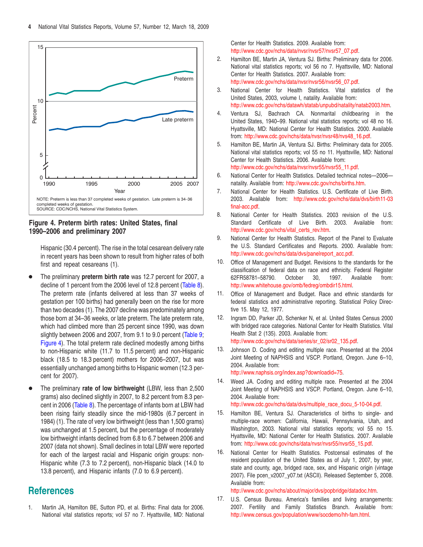<span id="page-3-0"></span>



Hispanic (30.4 percent). The rise in the total cesarean delivery rate in recent years has been shown to result from higher rates of both first and repeat cesareans (1).

- The preliminary **preterm birth rate** was 12.7 percent for 2007, a decline of 1 percent from the 2006 level of 12.8 percent [\(Table](#page-13-0) 8). The preterm rate (infants delivered at less than 37 weeks of gestation per 100 births) had generally been on the rise for more than two decades (1). The 2007 decline was predominately among those born at 34–36 weeks, or late preterm. The late preterm rate, which had climbed more than 25 percent since 1990, was down slightly between 2006 and 2007, from 9.1 to 9.0 percent [\(Table](#page-13-0) 9; Figure 4). The total preterm rate declined modestly among births to non-Hispanic white (11.7 to 11.5 percent) and non-Hispanic black (18.5 to 18.3 percent) mothers for 2006–2007, but was essentially unchanged among births to Hispanic women (12.3 percent for 2007).
- The preliminary **rate of low birthweight** (LBW, less than 2,500) grams) also [declined](#page-13-0) slightly in 2007, to 8.2 percent from 8.3 percent in 2006 (Table 8). The percentage of infants born at LBW had been rising fairly steadily since the mid-1980s (6.7 percent in 1984) (1). The rate of very low birthweight (less than 1,500 grams) was unchanged at 1.5 percent, but the percentage of moderately low birthweight infants declined from 6.8 to 6.7 between 2006 and 2007 (data not shown). Small declines in total LBW were reported for each of the largest racial and Hispanic origin groups: non-Hispanic white (7.3 to 7.2 percent), non-Hispanic black (14.0 to 13.8 percent), and Hispanic infants (7.0 to 6.9 percent).

## **References**

1. Martin JA, Hamilton BE, Sutton PD, et al. Births: Final data for 2006. National vital statistics reports; vol 57 no 7. Hyattsville, MD: National Center for Health Statistics. 2009. Available from: http://www.cdc.gov/nchs/data/nvsr/nvsr57/nvsr57\_07.pdf.

- 2. Hamilton BE, Martin JA, Ventura SJ. Births: Preliminary data for 2006. National vital statistics reports; vol 56 no 7. Hyattsville, MD: National Center for Health Statistics. 2007. Available from: http://www.cdc.gov/nchs/data/nvsr/nvsr56/nvsr56\_07.pdf.
- 3. National Center for Health Statistics. Vital statistics of the United States, 2003, volume I, natality. Available from: http://www.cdc.gov/nchs/datawh/statab/unpubd/natality/natab2003.htm.
- 4. Ventura SJ, Bachrach CA. Nonmarital childbearing in the United States, 1940–99. National vital statistics reports; vol 48 no 16. Hyattsville, MD: National Center for Health Statistics. 2000. Available from: http://www.cdc.gov/nchs/data/nvsr/nvsr48/nvs48\_16.pdf.
- 5. Hamilton BE, Martin JA, Ventura SJ. Births: Preliminary data for 2005. National vital statistics reports; vol 55 no 11. Hyattsville, MD: National Center for Health Statistics. 2006. Available from: http://www.cdc.gov/nchs/data/nvsr/nvsr55/nvsr55\_11.pdf.
- 6. National Center for Health Statistics. Detailed technical notes—2006 natality. Available from: http://www.cdc.gov/nchs/births.htm.
- 7. National Center for Health Statistics. U.S. Certificate of Live Birth. 2003. Available from: [http://www.cdc.gov/nchs/data/dvs/birth11-03](http://www.cdc.gov/nchs/data/dvs/birth11-03final-acc.pdf) final-acc.pdf.
- 8. National Center for Health Statistics. 2003 revision of the U.S. Standard Certificate of Live Birth. 2003. Available from: http://www.cdc.gov/nchs/vital\_certs\_rev.htm.
- 9. National Center for Health Statistics. Report of the Panel to Evaluate the U.S. Standard Certificates and Reports. 2000. Available from: http://www.cdc.gov/nchs/data/dvs/panelreport\_acc.pdf.
- 10. Office of Management and Budget. Revisions to the standards for the classification of federal data on race and ethnicity. Federal Register 62FR58781–58790. October 30, 1997. Available from: http://www.whitehouse.gov/omb/fedreg/ombdir15.html.
- 11. Office of Management and Budget. Race and ethnic standards for federal statistics and administrative reporting. Statistical Policy Directive 15. May 12, 1977.
- 12. Ingram DD, Parker JD, Schenker N, et al. United States Census 2000 with bridged race categories. National Center for Health Statistics. Vital Health Stat 2 (135). 2003. Available from: http://www.cdc.gov/nchs/data/series/sr\_02/sr02\_135.pdf.
- 13. Johnson D. Coding and editing multiple race. Presented at the 2004 Joint Meeting of NAPHSIS and VSCP. Portland, Oregon. June 6–10, 2004. Available from:

http://www.naphsis.org/index.asp?downloadid=75.

14. Weed JA. Coding and editing multiple race. Presented at the 2004 Joint Meeting of NAPHSIS and VSCP. Portland, Oregon. June 6–10, 2004. Available from:

http://www.cdc.gov/nchs/data/dvs/multiple\_race\_docu\_5-10-04.pdf.

- 15. Hamilton BE, Ventura SJ. Characteristics of births to single- and multiple-race women: California, Hawaii, Pennsylvania, Utah, and Washington, 2003. National vital statistics reports; vol 55 no 15. Hyattsville, MD: National Center for Health Statistics. 2007. Available from: http://www.cdc.gov/nchs/data/nvsr/nvsr55/nvsr55\_15.pdf.
- 16. National Center for Health Statistics. Postcensal estimates of the resident population of the United States as of July 1, 2007, by year, state and county, age, bridged race, sex, and Hispanic origin (vintage 2007). File pcen\_v2007\_y07.txt (ASCII). Released September 5, 2008. Available from:

http://www.cdc.gov/nchs/about/major/dvs/popbridge/datadoc.htm.

17. U.S. Census Bureau. America's families and living arrangements: 2007. Fertility and Family Statistics Branch. Available from: http://www.census.gov/population/www/socdemo/hh-fam.html.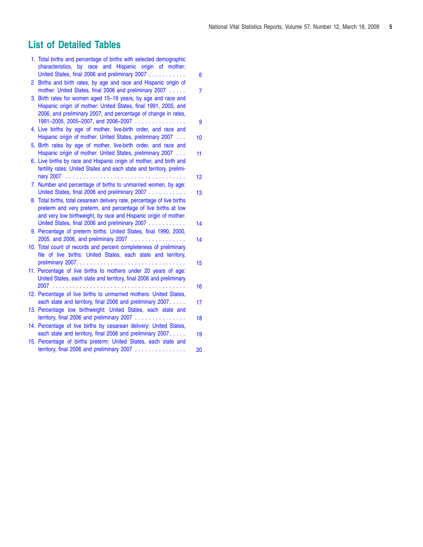## <span id="page-4-0"></span>**List of Detailed Tables**

| 1. Total births and percentage of births with selected demographic<br>characteristics, by race and Hispanic origin of mother:      |                |
|------------------------------------------------------------------------------------------------------------------------------------|----------------|
| United States, final 2006 and preliminary 2007                                                                                     | 6              |
| 2. Births and birth rates, by age and race and Hispanic origin of                                                                  |                |
| mother: United States, final 2006 and preliminary 2007                                                                             | $\overline{7}$ |
| 3. Birth rates for women aged 15-19 years, by age and race and<br>Hispanic origin of mother: United States, final 1991, 2005, and  |                |
| 2006, and preliminary 2007; and percentage of change in rates,                                                                     |                |
| 1991-2005, 2005-2007, and 2006-2007                                                                                                | 9              |
| 4. Live births by age of mother, live-birth order, and race and                                                                    |                |
| Hispanic origin of mother: United States, preliminary 2007                                                                         | 10             |
| 5. Birth rates by age of mother, live-birth order, and race and                                                                    |                |
| Hispanic origin of mother: United States, preliminary 2007<br>6. Live births by race and Hispanic origin of mother, and birth and  | 11             |
| fertility rates: United States and each state and territory, prelimi-                                                              |                |
|                                                                                                                                    | 12             |
| 7. Number and percentage of births to unmarried women, by age:                                                                     |                |
| United States, final 2006 and preliminary 2007                                                                                     | 13             |
| 8. Total births, total cesarean delivery rate, percentage of live births                                                           |                |
| preterm and very preterm, and percentage of live births at low<br>and very low birthweight, by race and Hispanic origin of mother: |                |
| United States, final 2006 and preliminary 2007                                                                                     | 14             |
| 9. Percentage of preterm births: United States, final 1990, 2000,                                                                  |                |
| 2005, and 2006, and preliminary 2007                                                                                               | 14             |
| 10. Total count of records and percent completeness of preliminary                                                                 |                |
| file of live births: United States, each state and territory,                                                                      | 15             |
| 11. Percentage of live births to mothers under 20 years of age:                                                                    |                |
| United States, each state and territory, final 2006 and preliminary                                                                |                |
|                                                                                                                                    | 16             |
| 12. Percentage of live births to unmarried mothers: United States,                                                                 |                |
| each state and territory, final 2006 and preliminary 2007.                                                                         | 17             |
| 13. Percentage low birthweight: United States, each state and<br>territory, final 2006 and preliminary 2007                        | 18             |
| 14. Percentage of live births by cesarean delivery: United States,                                                                 |                |
| each state and territory, final 2006 and preliminary 2007.                                                                         | 19             |
| 15. Percentage of births preterm: United States, each state and                                                                    |                |
| territory, final 2006 and preliminary 2007                                                                                         | 20             |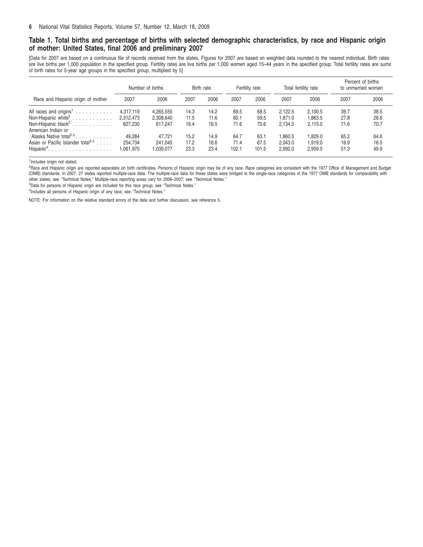## <span id="page-5-0"></span>Table 1. Total births and percentage of births with selected demographic characteristics, by race and Hispanic origin **of mother: United States, final 2006 and preliminary 2007**

[Data for 2007 are based on a continuous file of records received from the states. Figures for 2007 are based on weighted data rounded to the nearest individual. Birth rates are live births per 1,000 population in the specified group. Fertility rates are live births per 1,000 women aged 15-44 years in the specified group. Total fertility rates are sums of birth rates for 5-year age groups in the specified group, multiplied by 5]

|                                                                                      | Number of births                  |                                   | Birth rate           |                      | Fertility rate        |                       | Total fertility rate          |                               | Percent of births<br>to unmarried women |                      |
|--------------------------------------------------------------------------------------|-----------------------------------|-----------------------------------|----------------------|----------------------|-----------------------|-----------------------|-------------------------------|-------------------------------|-----------------------------------------|----------------------|
| Race and Hispanic origin of mother                                                   | 2007                              | 2006                              | 2007                 | 2006                 | 2007                  | 2006                  | 2007                          | 2006                          | 2007                                    | 2006                 |
| Non-Hispanic white <sup>2</sup><br>American Indian or                                | 4,317,119<br>2.312.473<br>627.230 | 4,265,555<br>2.308.640<br>617.247 | 14.3<br>11.5<br>16.4 | 14.2<br>11.6<br>16.5 | 69.5<br>60.1<br>71.6  | 68.5<br>59.5<br>70.6  | 2.122.5<br>1.871.0<br>2.134.5 | 2.100.5<br>1.863.5<br>2.115.0 | 39.7<br>27.8<br>71.6                    | 38.5<br>26.6<br>70.7 |
| Alaska Native total <sup>2,3</sup><br>Asian or Pacific Islander total <sup>2,3</sup> | 49.284<br>254.734<br>1,061,970    | 47.721<br>241.045<br>1,039,077    | 15.2<br>17.2<br>23.3 | 14.9<br>16.6<br>23.4 | 64.7<br>71.4<br>102.1 | 63.1<br>67.5<br>101.5 | 1.860.5<br>2.043.0<br>2,992.0 | 1.829.0<br>1.919.0<br>2,959.5 | 65.2<br>16.9<br>51.3                    | 64.6<br>16.5<br>49.9 |

1 Includes origin not stated.

<sup>2</sup>Race and Hispanic origin are reported separately on birth certificates. Persons of Hispanic origin may be of any race. Race categories are consistent with the 1977 Office of Management and Budget (OMB) standards. In 2007, 27 states reported multiple-race data. The multiple-race data for these states were bridged to the single-race categories of the 1977 OMB standards for comparability with<br>other states; see "Techni

<sup>3</sup>Data for persons of Hispanic origin are included for this race group; see "Technical Notes."

<sup>4</sup>Includes all persons of Hispanic origin of any race; see "Technical Notes."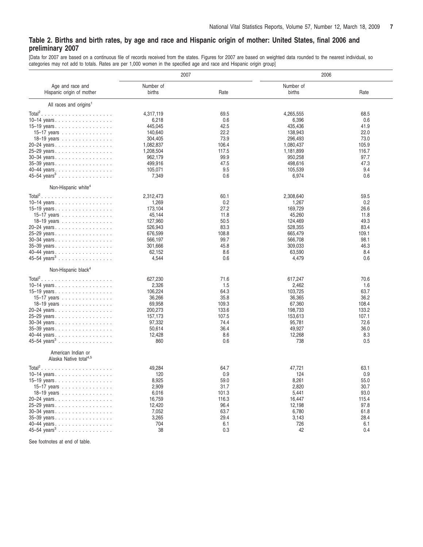## <span id="page-6-0"></span>Table 2. Births and birth rates, by age and race and Hispanic origin of mother: United States, final 2006 and **preliminary 2007**

[Data for 2007 are based on a continuous file of records received from the states. Figures for 2007 are based on weighted data rounded to the nearest individual, so categories may not add to totals. Rates are per 1,000 women in the specified age and race and Hispanic origin group]

|                                           | 2007      |       | 2006      |       |  |  |
|-------------------------------------------|-----------|-------|-----------|-------|--|--|
| Age and race and                          | Number of |       | Number of |       |  |  |
| Hispanic origin of mother                 | births    | Rate  | births    | Rate  |  |  |
| All races and origins <sup>1</sup>        |           |       |           |       |  |  |
| $Total2$                                  | 4,317,119 | 69.5  | 4,265,555 | 68.5  |  |  |
| 10–14 years                               | 6,218     | 0.6   | 6,396     | 0.6   |  |  |
| 15–19 years                               | 445,045   | 42.5  | 435,436   | 41.9  |  |  |
| 15–17 years                               | 140,640   | 22.2  | 138,943   | 22.0  |  |  |
| 18–19 years                               | 304,405   | 73.9  | 296,493   | 73.0  |  |  |
| 20-24 years                               | 1,082,837 | 106.4 | 1,080,437 | 105.9 |  |  |
| 25-29 years.                              | 1,208,504 | 117.5 | 1,181,899 | 116.7 |  |  |
|                                           | 962,179   | 99.9  | 950,258   | 97.7  |  |  |
| 30-34 years                               |           |       |           |       |  |  |
| 35-39 years                               | 499,916   | 47.5  | 498,616   | 47.3  |  |  |
| 40-44 years                               | 105,071   | 9.5   | 105,539   | 9.4   |  |  |
| 45-54 years <sup>3</sup>                  | 7,349     | 0.6   | 6,974     | 0.6   |  |  |
| Non-Hispanic white <sup>4</sup>           |           |       |           |       |  |  |
| $Total2$                                  | 2,312,473 | 60.1  | 2,308,640 | 59.5  |  |  |
| 10-14 years                               | 1,269     | 0.2   | 1,267     | 0.2   |  |  |
| 15-19 years.                              | 173.104   | 27.2  | 169,729   | 26.6  |  |  |
| 15–17 years                               | 45,144    | 11.8  | 45,260    | 11.8  |  |  |
| 18–19 years                               | 127,960   | 50.5  | 124,469   | 49.3  |  |  |
| 20-24 years                               | 526,943   | 83.3  | 528,355   | 83.4  |  |  |
|                                           |           |       |           |       |  |  |
| 25-29 years                               | 676,599   | 108.8 | 665,479   | 109.1 |  |  |
| 30-34 years                               | 566,197   | 99.7  | 566,708   | 98.1  |  |  |
| 35-39 years                               | 301,666   | 45.8  | 309,033   | 46.3  |  |  |
| 40–44 years                               | 62,152    | 8.6   | 63,590    | 8.4   |  |  |
| 45-54 years <sup>3</sup>                  | 4,544     | 0.6   | 4,479     | 0.6   |  |  |
| Non-Hispanic black <sup>4</sup>           |           |       |           |       |  |  |
|                                           | 627,230   | 71.6  | 617,247   | 70.6  |  |  |
| 10–14 years.                              | 2,326     | 1.5   | 2,462     | 1.6   |  |  |
|                                           | 106,224   | 64.3  | 103,725   | 63.7  |  |  |
| 15–19 years                               |           | 35.8  |           | 36.2  |  |  |
| 15–17 years $\ldots \ldots \ldots \ldots$ | 36,266    |       | 36,365    |       |  |  |
| 18–19 years                               | 69,958    | 109.3 | 67,360    | 108.4 |  |  |
| 20-24 years                               | 200,273   | 133.6 | 198,733   | 133.2 |  |  |
| 25-29 years                               | 157,173   | 107.5 | 153,613   | 107.1 |  |  |
| 30-34 years                               | 97,332    | 74.4  | 95,781    | 72.6  |  |  |
| 35-39 years                               | 50,614    | 36.4  | 49,927    | 36.0  |  |  |
| 40-44 years                               | 12,428    | 8.6   | 12,268    | 8.3   |  |  |
| 45-54 years <sup>3</sup>                  | 860       | 0.6   | 738       | 0.5   |  |  |
| American Indian or                        |           |       |           |       |  |  |
| Alaska Native total <sup>4,5</sup>        |           |       |           |       |  |  |
| $Total2$                                  | 49,284    | 64.7  | 47,721    | 63.1  |  |  |
| 10-14 years                               | 120       | 0.9   | 124       | 0.9   |  |  |
| 15-19 years                               | 8,925     | 59.0  | 8,261     | 55.0  |  |  |
| 15–17 years                               | 2,909     | 31.7  | 2,820     | 30.7  |  |  |
| 18–19 years                               | 6,016     | 101.3 | 5,441     | 93.0  |  |  |
|                                           | 16,759    | 116.3 | 16,447    | 115.4 |  |  |
| 20-24 years                               |           |       |           |       |  |  |
| 25-29 years                               | 12,420    | 96.4  | 12,198    | 97.8  |  |  |
| 30-34 years                               | 7,052     | 63.7  | 6,780     | 61.8  |  |  |
| 35-39 years                               | 3,265     | 29.4  | 3,143     | 28.4  |  |  |
| 40–44 years                               | 704       | 6.1   | 726       | 6.1   |  |  |
| 45-54 years <sup>3</sup>                  | 38        | 0.3   | 42        | 0.4   |  |  |

See footnotes at end of table.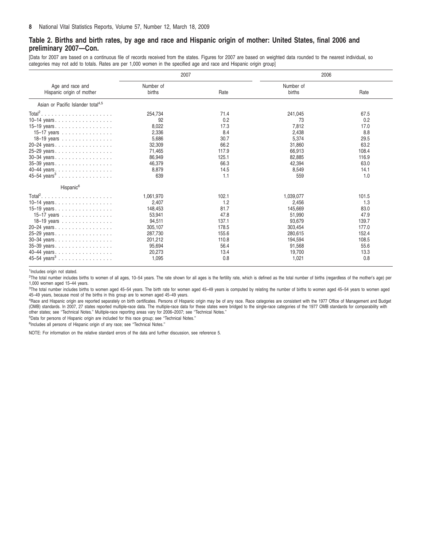### Table 2. Births and birth rates, by age and race and Hispanic origin of mother: United States, final 2006 and **preliminary 2007—Con.**

[Data for 2007 are based on a continuous file of records received from the states. Figures for 2007 are based on weighted data rounded to the nearest individual, so categories may not add to totals. Rates are per 1,000 women in the specified age and race and Hispanic origin group]

|                                                                                                                                                                                 | 2007                                                                                                            |                                                                                         | 2006                                                                                                            |                                                                                         |  |
|---------------------------------------------------------------------------------------------------------------------------------------------------------------------------------|-----------------------------------------------------------------------------------------------------------------|-----------------------------------------------------------------------------------------|-----------------------------------------------------------------------------------------------------------------|-----------------------------------------------------------------------------------------|--|
| Age and race and<br>Hispanic origin of mother                                                                                                                                   | Number of<br>births                                                                                             | Rate                                                                                    | Number of<br>births                                                                                             | Rate                                                                                    |  |
| Asian or Pacific Islander total <sup>4,5</sup>                                                                                                                                  |                                                                                                                 |                                                                                         |                                                                                                                 |                                                                                         |  |
| 10–14 years.<br>15-19 years.<br>15-17 years<br>18-19 years<br>20-24 years<br>25-29 years<br>30-34 years<br>35-39 years.<br>40-44 years<br>45-54 years <sup>3</sup>              | 254,734<br>92<br>8,022<br>2,336<br>5,686<br>32,309<br>71,465<br>86,949<br>46,379<br>8,879<br>639                | 71.4<br>0.2<br>17.3<br>8.4<br>30.7<br>66.2<br>117.9<br>125.1<br>66.3<br>14.5<br>1.1     | 241,045<br>73<br>7,812<br>2,438<br>5.374<br>31.860<br>66,913<br>82,885<br>42.394<br>8.549<br>559                | 67.5<br>0.2<br>17.0<br>8.8<br>29.5<br>63.2<br>108.4<br>116.9<br>63.0<br>14.1<br>1.0     |  |
| Hispanic <sup>6</sup>                                                                                                                                                           |                                                                                                                 |                                                                                         |                                                                                                                 |                                                                                         |  |
| $Total2$<br>10-14 years.<br>15-19 years.<br>15-17 years<br>18-19 years<br>20-24 years.<br>25-29 years<br>30-34 years<br>35-39 years<br>40-44 years.<br>45–54 years <sup>3</sup> | 1,061,970<br>2,407<br>148,453<br>53,941<br>94,511<br>305,107<br>287,730<br>201,212<br>95,694<br>20,273<br>1,095 | 102.1<br>1.2<br>81.7<br>47.8<br>137.1<br>178.5<br>155.6<br>110.8<br>56.4<br>13.4<br>0.8 | 1,039,077<br>2,456<br>145.669<br>51,990<br>93,679<br>303.454<br>280,615<br>194,594<br>91,568<br>19,700<br>1,021 | 101.5<br>1.3<br>83.0<br>47.9<br>139.7<br>177.0<br>152.4<br>108.5<br>55.6<br>13.3<br>0.8 |  |

1Includes origin not stated.

2 The total number includes births to women of all ages, 10–54 years. The rate shown for all ages is the fertility rate, which is defined as the total number of births (regardless of the mother's age) per 1,000 women aged 15–44 years.

<sup>3</sup>The total number includes births to women aged 45–54 years. The birth rate for women aged 45–49 years is computed by relating the number of births to women aged 45–54 years to women aged 45–49 years, because most of the births in this group are to women aged 45–49 years.

4 Race and Hispanic origin are reported separately on birth certificates. Persons of Hispanic origin may be of any race. Race categories are consistent with the 1977 Office of Management and Budget (OMB) standards. In 2007, 27 states reported multiple-race data. The multiple-race data for these states were bridged to the single-race categories of the 1977 OMB standards for comparability with other states; see ''Technical Notes.'' Multiple-race reporting areas vary for 2006–2007; see ''Technical Notes.''

5 Data for persons of Hispanic origin are included for this race group; see ''Technical Notes.''

<sup>6</sup>Includes all persons of Hispanic origin of any race; see "Technical Notes."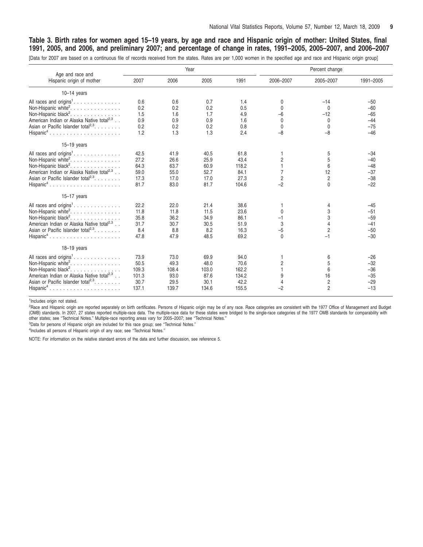## <span id="page-8-0"></span>Table 3. Birth rates for women aged 15–19 years, by age and race and Hispanic origin of mother: United States, final 1991, 2005, and 2006, and preliminary 2007; and percentage of change in rates, 1991–2005, 2005–2007, and 2006–2007

[Data for 2007 are based on a continuous file of records received from the states. Rates are per 1,000 women in the specified age and race and Hispanic origin group]

| Age and race and                                                                                                                                                                                                                             |                                                 |                                                | Year                                           |                                                 | Percent change                                                  |                                                           |                                                    |  |
|----------------------------------------------------------------------------------------------------------------------------------------------------------------------------------------------------------------------------------------------|-------------------------------------------------|------------------------------------------------|------------------------------------------------|-------------------------------------------------|-----------------------------------------------------------------|-----------------------------------------------------------|----------------------------------------------------|--|
| Hispanic origin of mother                                                                                                                                                                                                                    | 2007                                            | 2006                                           | 2005                                           | 1991                                            | 2006-2007                                                       | 2005-2007                                                 | 1991-2005                                          |  |
| $10-14$ years                                                                                                                                                                                                                                |                                                 |                                                |                                                |                                                 |                                                                 |                                                           |                                                    |  |
| Non-Hispanic white <sup>2</sup> .<br>Non-Hispanic black <sup>2</sup> .<br>American Indian or Alaska Native total <sup>2,3</sup><br>Asian or Pacific Islander total <sup>2,3</sup> .<br>$Hispanic4$                                           | 0.6<br>0.2<br>1.5<br>0.9<br>0.2<br>1.2          | 0.6<br>0.2<br>1.6<br>0.9<br>0.2<br>1.3         | 0.7<br>0.2<br>1.7<br>0.9<br>0.2<br>1.3         | 1.4<br>0.5<br>4.9<br>1.6<br>0.8<br>2.4          | 0<br>$\mathbf{0}$<br>$-6$<br>$\mathbf 0$<br>$\mathbf 0$<br>$-8$ | $-14$<br>$\mathbf 0$<br>$-12$<br>$\mathbf 0$<br>0<br>$-8$ | $-50$<br>$-60$<br>$-65$<br>$-44$<br>$-75$<br>$-46$ |  |
| $15-19$ years                                                                                                                                                                                                                                |                                                 |                                                |                                                |                                                 |                                                                 |                                                           |                                                    |  |
| Non-Hispanic white <sup>2</sup> .<br>Non-Hispanic black <sup>2</sup> .<br>American Indian or Alaska Native total <sup>2,3</sup><br>Asian or Pacific Islander total <sup>2,3</sup> .<br>$Hispanic4$                                           | 42.5<br>27.2<br>64.3<br>59.0<br>17.3<br>81.7    | 41.9<br>26.6<br>63.7<br>55.0<br>17.0<br>83.0   | 40.5<br>25.9<br>60.9<br>52.7<br>17.0<br>81.7   | 61.8<br>43.4<br>118.2<br>84.1<br>27.3<br>104.6  | $\overline{c}$<br>$\overline{7}$<br>$\sqrt{2}$<br>$-2$          | 5<br>5<br>6<br>12<br>$\overline{2}$<br>$\mathbf{0}$       | $-34$<br>$-40$<br>$-48$<br>$-37$<br>$-38$<br>$-22$ |  |
| $15 - 17$ years                                                                                                                                                                                                                              |                                                 |                                                |                                                |                                                 |                                                                 |                                                           |                                                    |  |
| All races and origins <sup>1</sup> .<br>Non-Hispanic white <sup>2</sup> .<br>Non-Hispanic black <sup>2</sup> .<br>American Indian or Alaska Native total <sup>2,3</sup> .<br>Asian or Pacific Islander total <sup>2,3</sup> .<br>$Hispanic4$ | 22.2<br>11.8<br>35.8<br>31.7<br>8.4<br>47.8     | 22.0<br>11.8<br>36.2<br>30.7<br>8.8<br>47.9    | 21.4<br>11.5<br>34.9<br>30.5<br>8.2<br>48.5    | 38.6<br>23.6<br>86.1<br>51.9<br>16.3<br>69.2    | $\mathbf{0}$<br>$-1$<br>3<br>$-5$<br>$\mathbf{0}$               | 4<br>3<br>3<br>2<br>$-1$                                  | $-45$<br>$-51$<br>$-59$<br>$-41$<br>$-50$<br>$-30$ |  |
| $18 - 19$ years                                                                                                                                                                                                                              |                                                 |                                                |                                                |                                                 |                                                                 |                                                           |                                                    |  |
| Non-Hispanic white <sup>2</sup> .<br>Non-Hispanic black <sup>2</sup> .<br>American Indian or Alaska Native total <sup>2,3</sup><br>Asian or Pacific Islander total <sup>2,3</sup> .<br>$Hispanic4$                                           | 73.9<br>50.5<br>109.3<br>101.3<br>30.7<br>137.1 | 73.0<br>49.3<br>108.4<br>93.0<br>29.5<br>139.7 | 69.9<br>48.0<br>103.0<br>87.6<br>30.1<br>134.6 | 94.0<br>70.6<br>162.2<br>134.2<br>42.2<br>155.5 | 2<br>$\mathbf{1}$<br>9<br>$\overline{4}$<br>$-2$                | 6<br>5<br>6<br>16<br>$\overline{c}$<br>$\overline{2}$     | $-26$<br>$-32$<br>$-36$<br>$-35$<br>$-29$<br>$-13$ |  |

1 Includes origin not stated.

<sup>2</sup>Race and Hispanic origin are reported separately on birth certificates. Persons of Hispanic origin may be of any race. Race categories are consistent with the 1977 Office of Management and Budget (OMB) standards. In 2007, 27 states reported multiple-race data. The multiple-race data for these states were bridged to the single-race categories of the 1977 OMB standards for comparability with other states; see ''Technical Notes.'' Multiple-race reporting areas vary for 2005–2007; see ''Technical Notes.''

<sup>3</sup>Data for persons of Hispanic origin are included for this race group; see "Technical Notes."

4 Includes all persons of Hispanic origin of any race; see ''Technical Notes.''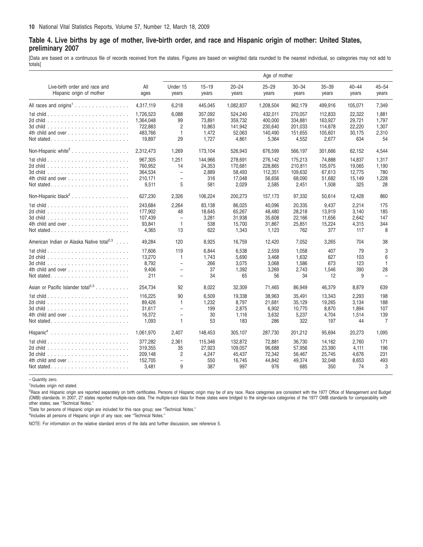## <span id="page-9-0"></span>Table 4. Live births by age of mother, live-birth order, and race and Hispanic origin of mother: United States, **preliminary 2007**

[Data are based on a continuous file of records received from the states. Figures are based on weighted data rounded to the nearest individual, so categories may not add to totals]

|                                                                                    |                                                        |                                                                                           |                                               |                                                  | Age of mother                                     |                                                   |                                                   |                                             |                                            |
|------------------------------------------------------------------------------------|--------------------------------------------------------|-------------------------------------------------------------------------------------------|-----------------------------------------------|--------------------------------------------------|---------------------------------------------------|---------------------------------------------------|---------------------------------------------------|---------------------------------------------|--------------------------------------------|
| Live-birth order and race and<br>Hispanic origin of mother                         | All<br>ages                                            | Under 15<br>years                                                                         | $15 - 19$<br>years                            | $20 - 24$<br>years                               | $25 - 29$<br>years                                | $30 - 34$<br>years                                | $35 - 39$<br>years                                | $40 - 44$<br>years                          | $45 - 54$<br>years                         |
| All races and origins <sup>1</sup>                                                 | 4,317,119                                              | 6,218                                                                                     | 445,045                                       | 1,082,837                                        | 1,208,504                                         | 962,179                                           | 499,916                                           | 105,071                                     | 7,349                                      |
| 4th child and over                                                                 | 1.726.523<br>1,364,048<br>722.883<br>483,766<br>19,897 | 6,088<br>99<br>$\overline{2}$<br>$\mathbf{1}$<br>29                                       | 357,092<br>73,891<br>10.863<br>1,472<br>1,727 | 524,240<br>359,732<br>141,942<br>52,063<br>4,861 | 432,011<br>400,000<br>230.640<br>140,490<br>5,364 | 270,057<br>334,881<br>201.033<br>151,655<br>4,552 | 112,833<br>163.927<br>114.878<br>105,601<br>2,677 | 22,322<br>29,721<br>22.220<br>30,175<br>634 | 1,881<br>1.797<br>1.307<br>2,310<br>54     |
| Non-Hispanic white <sup>2</sup>                                                    | 2,312,473                                              | 1,269                                                                                     | 173,104                                       | 526,943                                          | 676,599                                           | 566,197                                           | 301,666                                           | 62,152                                      | 4,544                                      |
| 1st child $\ldots \ldots \ldots \ldots \ldots \ldots \ldots$<br>4th child and over | 967,305<br>760,952<br>364.534<br>210,171<br>9,511      | 1,251<br>14<br>$\overline{\phantom{a}}$<br>$\equiv$<br>5                                  | 144,966<br>24,353<br>2.889<br>316<br>581      | 278,691<br>170,681<br>58.493<br>17,048<br>2,029  | 276,142<br>228,865<br>112.351<br>56,656<br>2,585  | 175,213<br>210,811<br>109.632<br>68,090<br>2,451  | 74,888<br>105,975<br>67.613<br>51,682<br>1,508    | 14,837<br>19,065<br>12.775<br>15,149<br>325 | 1,317<br>1.190<br>780<br>1,228<br>28       |
| Non-Hispanic black <sup>2</sup>                                                    | 627,230                                                | 2,326                                                                                     | 106,224                                       | 200,273                                          | 157,173                                           | 97,332                                            | 50,614                                            | 12,428                                      | 860                                        |
| 1st child $\ldots \ldots \ldots \ldots \ldots \ldots \ldots$<br>4th child and over | 243.684<br>177,902<br>107.439<br>93,841<br>4,365       | 2,264<br>48<br>$\overline{\phantom{a}}$<br>$\mathbf{1}$<br>13                             | 83,138<br>18,645<br>3,281<br>538<br>622       | 86,025<br>65,267<br>31,938<br>15,700<br>1,343    | 40,096<br>48,480<br>35,608<br>31,867<br>1,123     | 20,335<br>28,218<br>22.166<br>25,851<br>762       | 9,437<br>13,919<br>11.656<br>15,224<br>377        | 2.214<br>3.140<br>2.642<br>4,315<br>117     | 175<br>185<br>147<br>344<br>8              |
| American Indian or Alaska Native total <sup>2,3</sup>                              | 49,284                                                 | 120                                                                                       | 8,925                                         | 16,759                                           | 12,420                                            | 7,052                                             | 3,265                                             | 704                                         | 38                                         |
|                                                                                    | 17,606<br>13,270<br>8.792<br>9,406<br>211              | 119<br>$\mathbf{1}$<br>$\overline{\phantom{a}}$<br>$\qquad \qquad -$<br>$\qquad \qquad -$ | 6,844<br>1,743<br>266<br>37<br>34             | 6,538<br>5,690<br>3.075<br>1,392<br>65           | 2,559<br>3,468<br>3.068<br>3,269<br>56            | 1,058<br>1,632<br>1,586<br>2,743<br>34            | 407<br>627<br>673<br>1,546<br>12                  | 79<br>103<br>123<br>390<br>9                | 3<br>6<br>$\mathbf{1}$<br>28               |
| Asian or Pacific Islander total <sup>2,3</sup>                                     | 254,734                                                | 92                                                                                        | 8,022                                         | 32,309                                           | 71,465                                            | 86,949                                            | 46,379                                            | 8,879                                       | 639                                        |
| 1st child $\ldots \ldots \ldots \ldots \ldots \ldots \ldots$                       | 116,225<br>89,426<br>31.617<br>16,372<br>1.093         | 90<br>$\overline{1}$<br>$\equiv$<br>$\overline{a}$<br>$\mathbf{1}$                        | 6,509<br>1,232<br>199<br>30<br>53             | 19,338<br>8,797<br>2.875<br>1,116<br>183         | 38,963<br>21,681<br>6.902<br>3,632<br>286         | 35,491<br>35,129<br>10.770<br>5,237<br>322        | 13,343<br>19,265<br>8.870<br>4,704<br>197         | 2.293<br>3.134<br>1.894<br>1,514<br>44      | 198<br>188<br>107<br>139<br>$\overline{7}$ |
| $Hispanic4$                                                                        | 1,061,970                                              | 2,407                                                                                     | 148,453                                       | 305,107                                          | 287,730                                           | 201,212                                           | 95,694                                            | 20,273                                      | 1,095                                      |
| Not stated                                                                         | 377,282<br>319.355<br>209.148<br>152,705<br>3,481      | 2,361<br>35<br>$\overline{2}$<br>$\overline{a}$<br>9                                      | 115,346<br>27,923<br>4.247<br>550<br>387      | 132,872<br>109.057<br>45.437<br>16,745<br>997    | 72,881<br>96.688<br>72.342<br>44,842<br>976       | 36,730<br>57,956<br>56.467<br>49,374<br>685       | 14,162<br>23.390<br>25.745<br>32,048<br>350       | 2,760<br>4.111<br>4.676<br>8,653<br>74      | 171<br>196<br>231<br>493<br>3              |

– Quantity zero.

1Includes origin not stated.

<sup>2</sup>Race and Hispanic origin are reported separately on birth certificates. Persons of Hispanic origin may be of any race. Race categories are consistent with the 1977 Office of Management and Budget (OMB) standards. In 2007, 27 states reported multiple-race data. The multiple-race data for these states were bridged to the single-race categories of the 1977 OMB standards for comparability with other states; see ''Technical Notes.''

<sup>3</sup>Data for persons of Hispanic origin are included for this race group; see "Technical Notes."

<sup>4</sup>Includes all persons of Hispanic origin of any race; see "Technical Notes."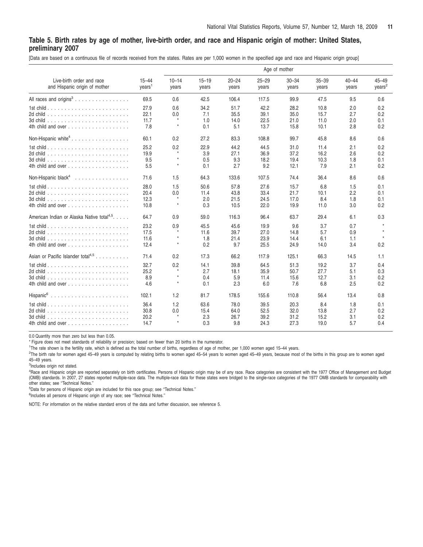## <span id="page-10-0"></span>Table 5. Birth rates by age of mother, live-birth order, and race and Hispanic origin of mother: United States, **preliminary 2007**

[Data are based on a continuous file of records received from the states. Rates are per 1,000 women in the specified age and race and Hispanic origin group]

|                                                                                    |                                 | Age of mother                           |                            |                              |                              |                              |                              |                          |                                 |  |  |
|------------------------------------------------------------------------------------|---------------------------------|-----------------------------------------|----------------------------|------------------------------|------------------------------|------------------------------|------------------------------|--------------------------|---------------------------------|--|--|
| Live-birth order and race<br>and Hispanic origin of mother                         | $15 - 44$<br>years <sup>1</sup> | $10 - 14$<br>years                      | $15 - 19$<br>years         | $20 - 24$<br>years           | $25 - 29$<br>years           | $30 - 34$<br>years           | $35 - 39$<br>years           | $40 - 44$<br>years       | $45 - 49$<br>years <sup>2</sup> |  |  |
| All races and origins <sup>3</sup>                                                 | 69.5                            | 0.6                                     | 42.5                       | 106.4                        | 117.5                        | 99.9                         | 47.5                         | 9.5                      | 0.6                             |  |  |
|                                                                                    | 27.9<br>22.1<br>11.7<br>7.8     | 0.6<br>0.0<br>$\star$<br>$\star$        | 34.2<br>7.1<br>1.0<br>0.1  | 51.7<br>35.5<br>14.0<br>5.1  | 42.2<br>39.1<br>22.5<br>13.7 | 28.2<br>35.0<br>21.0<br>15.8 | 10.8<br>15.7<br>11.0<br>10.1 | 2.0<br>2.7<br>2.0<br>2.8 | 0.2<br>0.2<br>0.1<br>0.2        |  |  |
| Non-Hispanic white <sup>4</sup>                                                    | 60.1                            | 0.2                                     | 27.2                       | 83.3                         | 108.8                        | 99.7                         | 45.8                         | 8.6                      | 0.6                             |  |  |
| 4th child and over                                                                 | 25.2<br>19.9<br>9.5<br>5.5      | 0.2<br>$\star$<br>$\star$<br>$\star$    | 22.9<br>3.9<br>0.5<br>0.1  | 44.2<br>27.1<br>9.3<br>2.7   | 44.5<br>36.9<br>18.2<br>9.2  | 31.0<br>37.2<br>19.4<br>12.1 | 11.4<br>16.2<br>10.3<br>7.9  | 2.1<br>2.6<br>1.8<br>2.1 | 0.2<br>0.2<br>0.1<br>0.2        |  |  |
| Non-Hispanic black <sup>4</sup>                                                    | 71.6                            | 1.5                                     | 64.3                       | 133.6                        | 107.5                        | 74.4                         | 36.4                         | 8.6                      | 0.6                             |  |  |
| 4th child and over                                                                 | 28.0<br>20.4<br>12.3<br>10.8    | 1.5<br>0.0<br>$^\star$<br>$\star$       | 50.6<br>11.4<br>2.0<br>0.3 | 57.8<br>43.8<br>21.5<br>10.5 | 27.6<br>33.4<br>24.5<br>22.0 | 15.7<br>21.7<br>17.0<br>19.9 | 6.8<br>10.1<br>8.4<br>11.0   | 1.5<br>2.2<br>1.8<br>3.0 | 0.1<br>0.1<br>0.1<br>0.2        |  |  |
| American Indian or Alaska Native total <sup>4,5</sup> .                            | 64.7                            | 0.9                                     | 59.0                       | 116.3                        | 96.4                         | 63.7                         | 29.4                         | 6.1                      | 0.3                             |  |  |
| 4th child and over                                                                 | 23.2<br>17.5<br>11.6<br>12.4    | 0.9<br>$\star$<br>$^\star$<br>$^\star$  | 45.5<br>11.6<br>1.8<br>0.2 | 45.6<br>39.7<br>21.4<br>9.7  | 19.9<br>27.0<br>23.9<br>25.5 | 9.6<br>14.8<br>14.4<br>24.9  | 3.7<br>5.7<br>6.1<br>14.0    | 0.7<br>0.9<br>1.1<br>3.4 | $\star$<br>$\star$<br>0.2       |  |  |
| Asian or Pacific Islander total <sup>4,5</sup>                                     | 71.4                            | 0.2                                     | 17.3                       | 66.2                         | 117.9                        | 125.1                        | 66.3                         | 14.5                     | 1.1                             |  |  |
| 1st child $\ldots \ldots \ldots \ldots \ldots \ldots \ldots$<br>4th child and over | 32.7<br>25.2<br>8.9<br>4.6      | 0.2<br>$^\star$<br>$^\star$<br>$^\star$ | 14.1<br>2.7<br>0.4<br>0.1  | 39.8<br>18.1<br>5.9<br>2.3   | 64.5<br>35.9<br>11.4<br>6.0  | 51.3<br>50.7<br>15.6<br>7.6  | 19.2<br>27.7<br>12.7<br>6.8  | 3.7<br>5.1<br>3.1<br>2.5 | 0.4<br>0.3<br>0.2<br>0.2        |  |  |
|                                                                                    | 102.1                           | 1.2                                     | 81.7                       | 178.5                        | 155.6                        | 110.8                        | 56.4                         | 13.4                     | 0.8                             |  |  |
| 4th child and over                                                                 | 36.4<br>30.8<br>20.2<br>14.7    | 1.2<br>0.0<br>$^\star$<br>$\star$       | 63.6<br>15.4<br>2.3<br>0.3 | 78.0<br>64.0<br>26.7<br>9.8  | 39.5<br>52.5<br>39.2<br>24.3 | 20.3<br>32.0<br>31.2<br>27.3 | 8.4<br>13.8<br>15.2<br>19.0  | 1.8<br>2.7<br>3.1<br>5.7 | 0.1<br>0.2<br>0.2<br>0.4        |  |  |

0.0 Quantity more than zero but less than 0.05. \* Figure does not meet standards of reliability or precision; based on fewer than 20 births in the numerator.

1 The rate shown is the fertility rate, which is defined as the total number of births, regardless of age of mother, per 1,000 women aged 15–44 years.

<sup>1</sup>The rate shown is the fertility rate, which is defined as the total number of births, regardless of age of mother, per 1,000 women aged 15–44 years.<br><sup>2</sup>The birth rate for women aged 45–49 years is computed by relating b 45–49 years.

<sup>3</sup>Includes origin not stated.

4 Race and Hispanic origin are reported separately on birth certificates. Persons of Hispanic origin may be of any race. Race categories are consistent with the 1977 Office of Management and Budget (OMB) standards. In 2007, 27 states reported multiple-race data. The multiple-race data for these states were bridged to the single-race categories of the 1977 OMB standards for comparability with other states; see ''Technical Notes.''

5 Data for persons of Hispanic origin are included for this race group; see ''Technical Notes.''

<sup>6</sup>Includes all persons of Hispanic origin of any race; see "Technical Notes."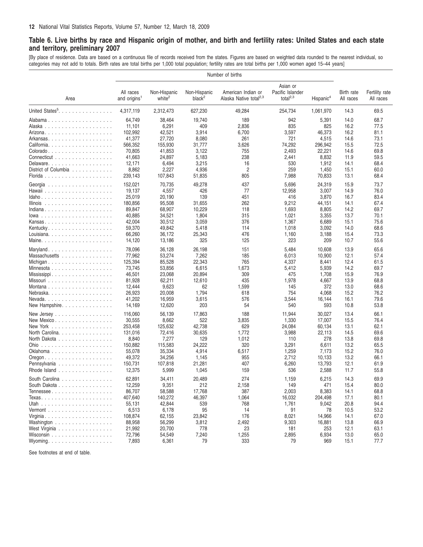## <span id="page-11-0"></span>Table 6. Live births by race and Hispanic origin of mother, and birth and fertility rates: United States and each state **and territory, preliminary 2007**

[By place of residence. Data are based on a continuous file of records received from the states. Figures are based on weighted data rounded to the nearest individual, so categories may not add to totals. Birth rates are total births per 1,000 total population; fertility rates are total births per 1,000 women aged 15–44 years]

| Number of births                                     |                                       |                                    |                                    |                                                          |                                                |                       |                         |                             |
|------------------------------------------------------|---------------------------------------|------------------------------------|------------------------------------|----------------------------------------------------------|------------------------------------------------|-----------------------|-------------------------|-----------------------------|
| Area                                                 | All races<br>and origins <sup>1</sup> | Non-Hispanic<br>white <sup>2</sup> | Non-Hispanic<br>black <sup>2</sup> | American Indian or<br>Alaska Native total <sup>2,3</sup> | Asian or<br>Pacific Islander<br>total $^{2,3}$ | Hispanic <sup>4</sup> | Birth rate<br>All races | Fertility rate<br>All races |
| United States <sup>5</sup> .                         | 4,317,119                             | 2,312,473                          | 627,230                            | 49,284                                                   | 254,734                                        | 1,061,970             | 14.3                    | 69.5                        |
|                                                      | 64,749                                | 38,464                             | 19,740                             | 189                                                      | 942                                            | 5,391                 | 14.0                    | 68.7                        |
|                                                      | 11,101                                | 6,291                              | 409                                | 2,836                                                    | 835                                            | 825                   | 16.2                    | 77.5                        |
|                                                      | 102,992                               | 42,521                             | 3,914                              | 6,700                                                    | 3,597                                          | 46,373                | 16.2                    | 81.1                        |
|                                                      | 41,377                                | 27,720                             | 8,080                              | 261                                                      | 721                                            | 4,515                 | 14.6                    | 73.1                        |
| California.                                          | 566,352                               | 155,930                            | 31,777                             | 3,626                                                    | 74,292                                         | 296,942               | 15.5                    | 72.5                        |
|                                                      | 70,805                                | 41,853                             | 3,122                              | 755                                                      | 2,493                                          | 22,221                | 14.6                    | 69.8                        |
| Connecticut                                          | 41,663                                | 24,897                             | 5,183                              | 238                                                      | 2,441                                          | 8,832                 | 11.9                    | 59.5                        |
|                                                      | 12,171                                | 6,494                              | 3,215                              | 16                                                       | 530                                            | 1,912                 | 14.1                    | 68.4                        |
| District of Columbia                                 | 8,862                                 | 2,227                              | 4,936                              | $\overline{c}$                                           | 259                                            | 1,450                 | 15.1                    | 60.0                        |
|                                                      | 239,143                               | 107,843                            | 51,835                             | 805                                                      | 7,988                                          | 70,833                | 13.1                    | 68.4                        |
|                                                      | 152,021                               | 70,735                             | 49,278                             | 437                                                      | 5,696                                          | 24,319                | 15.9                    | 73.7                        |
|                                                      | 19,137                                | 4,557                              | 426                                | 77                                                       | 12,958                                         | 3,007                 | 14.9                    | 76.0                        |
| Idaho                                                | 25,019                                | 20,190                             | 139                                | 451                                                      | 416                                            | 3,870                 | 16.7                    | 83.4                        |
| Illinois $\ldots \ldots \ldots \ldots \ldots \ldots$ | 180,856                               | 95,508                             | 31,655                             | 262                                                      | 9,212                                          | 44,151                | 14.1                    | 67.4                        |
| Indiana                                              | 89,847                                | 68,907                             | 10,229                             | 118                                                      | 1,693                                          | 8,805                 | 14.2                    | 69.7                        |
| $lowa$                                               | 40,885                                | 34,521                             | 1,804                              | 315                                                      | 1,021                                          | 3,355                 | 13.7                    | 70.1                        |
| Kansas                                               | 42,004                                | 30,512                             | 3,059                              | 376                                                      | 1,367                                          | 6,689                 | 15.1                    | 75.6                        |
| Kentucky.                                            | 59,370                                | 49,842                             | 5,418                              | 114                                                      | 1,018                                          | 3,092                 | 14.0                    | 68.6                        |
|                                                      | 66,260                                | 36,172                             | 25,343                             | 476                                                      | 1,160                                          | 3,188                 | 15.4                    | 73.3                        |
|                                                      | 14,120                                | 13,186                             | 325                                | 125                                                      | 223                                            | 209                   | 10.7                    | 55.6                        |
| Maryland.                                            | 78,096                                | 36,128                             | 26,198                             | 151                                                      | 5,484                                          | 10,608                | 13.9                    | 65.6                        |
| Massachusetts                                        | 77,962                                | 53,274                             | 7,262                              | 185                                                      | 6,013                                          | 10,900                | 12.1                    | 57.4                        |
| Michigan                                             | 125,394                               | 85,528                             | 22,343                             | 765                                                      | 4,337                                          | 8,441                 | 12.4                    | 61.5                        |
| Minnesota                                            | 73,745                                | 53,856                             | 6,615                              | 1,673                                                    | 5,412                                          | 5,939                 | 14.2                    | 69.7                        |
| Mississippi                                          | 46,501                                | 23,068                             | 20,894                             | 309                                                      | 475                                            | 1,708                 | 15.9                    | 76.9                        |
|                                                      | 81,928                                | 62,211                             | 12,610                             | 435                                                      | 1,978                                          | 4,667                 | 13.9                    | 68.8                        |
|                                                      | 12,444                                | 9,623                              | 62                                 | 1,599                                                    | 145                                            | 372                   | 13.0                    | 68.6                        |
| Nebraska                                             | 26,923                                | 20,008                             | 1,794                              | 618                                                      | 754                                            | 4,068                 | 15.2                    | 76.2                        |
| $Nevada. \ldots \ldots \ldots \ldots \ldots \ldots$  | 41,202                                | 16,959                             | 3,615                              | 576                                                      | 3,544                                          | 16,144                | 16.1                    | 79.6                        |
| New Hampshire.                                       | 14,169                                | 12,620                             | 203                                | 54                                                       | 540                                            | 593                   | 10.8                    | 53.8                        |
| New Jersey                                           | 116,060                               | 56,139                             | 17,863                             | 188                                                      | 11,944                                         | 30,027                | 13.4                    | 66.1                        |
| New Mexico                                           | 30,555                                | 8,662                              | 522                                | 3,835                                                    | 1,330                                          | 17,007                | 15.5                    | 76.4                        |
| New York                                             | 253,458                               | 125,632                            | 42,738                             | 629                                                      | 24,084                                         | 60,134                | 13.1                    | 62.1                        |
| North Carolina.                                      | 131,016                               | 72,416                             | 30,635                             | 1,772                                                    | 3,988                                          | 22,113                | 14.5                    | 69.6                        |
| North Dakota                                         | 8,840                                 | 7,277                              | 129                                | 1,012                                                    | 110                                            | 278                   | 13.8                    | 69.8                        |
|                                                      | 150,882                               | 115,583                            | 24,222                             | 320                                                      | 3,291                                          | 6,611                 | 13.2                    | 65.5                        |
| Oklahoma                                             | 55,078                                | 35,334                             | 4,914                              | 6,517                                                    | 1,259                                          | 7,173                 | 15.2                    | 76.0                        |
| Oregon. $\ldots$ .                                   | 49,372                                | 34,256                             | 1,145                              | 955                                                      | 2,712                                          | 10,133                | 13.2                    | 66.1                        |
| Pennsylvania                                         | 150,731                               | 107,818                            | 21,281                             | 407                                                      | 6,260                                          | 13,793                | 12.1                    | 61.9                        |
| Rhode Island                                         | 12,375                                | 5,999                              | 1,045                              | 159                                                      | 536                                            | 2,588                 | 11.7                    | 55.8                        |
| South Carolina                                       | 62,891                                | 34,411                             | 20,489                             | 274                                                      | 1,159                                          | 6,215                 | 14.3                    | 69.9                        |
| South Dakota                                         | 12,259                                | 9,351                              | 212                                | 2,158                                                    | 149                                            | 471                   | 15.4                    | 80.0                        |
| Tennessee                                            | 86,707                                | 58,588                             | 17,768                             | 387                                                      | 2,003                                          | 8,383                 | 14.1                    | 68.8                        |
|                                                      | 407,640                               | 140,272                            | 46,397                             | 1,064                                                    | 16,032                                         | 204,498               | 17.1                    | 80.1                        |
|                                                      | 55,131                                | 42,844                             | 539                                | 768                                                      | 1,761                                          | 9,042                 | 20.8                    | 94.4                        |
|                                                      | 6,513                                 | 6,178                              | 95                                 | 14                                                       | 91                                             | 78                    | 10.5                    | 53.2                        |
|                                                      | 108,874                               | 62,155                             | 23,842                             | 176                                                      | 8,021                                          | 14,966                | 14.1                    | 67.0                        |
| Washington                                           | 88,958                                | 56,299                             | 3,812                              | 2,492                                                    | 9,303                                          | 16,881                | 13.8                    | 66.9                        |
| West Virginia                                        | 21,992                                | 20,700                             | 778                                | 23                                                       | 181                                            | 253                   | 12.1                    | 63.1                        |
| Wisconsin                                            | 72,796                                | 54,549                             | 7,240                              | 1,255                                                    | 2,895                                          | 6,934                 | 13.0                    | 65.0                        |
| Wyoming                                              | 7,893                                 | 6,361                              | 79                                 | 333                                                      | 79                                             | 969                   | 15.1                    | 77.7                        |

See footnotes at end of table.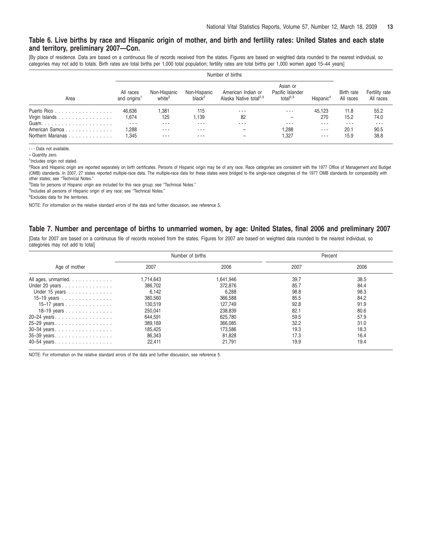#### <span id="page-12-0"></span>Table 6. Live births by race and Hispanic origin of mother, and birth and fertility rates: United States and each state **and territory, preliminary 2007—Con.**

[By place of residence. Data are based on a continuous file of records received from the states. Figures are based on weighted data rounded to the nearest individual, so categories may not add to totals. Birth rates are total births per 1,000 total population; fertility rates are total births per 1,000 women aged 15–44 years]

| Area              | All races<br>and origins <sup>1</sup> | Non-Hispanic<br>white <sup>2</sup> | Non-Hispanic<br>black <sup>2</sup> | American Indian or<br>Alaska Native total <sup>2,3</sup> | Asian or<br>Pacific Islander<br>total $^{2,3}$ | Hispanic <sup>4</sup> | Birth rate<br>All races | Fertility rate<br>All races |
|-------------------|---------------------------------------|------------------------------------|------------------------------------|----------------------------------------------------------|------------------------------------------------|-----------------------|-------------------------|-----------------------------|
| Puerto Rico       | 46.636                                | 1,381                              | 115                                | ---                                                      | ---                                            | 45.123                | 11.8                    | 55.2                        |
| Virgin Islands    | 1.674                                 | 125                                | .139                               | 82                                                       |                                                | 270                   | 15.2                    | 74.0                        |
|                   | ---                                   | ---                                | $  -$                              |                                                          |                                                | $\sim$ $\sim$ $\sim$  | $- - -$                 | ---                         |
| American Samoa    | .288                                  | $- - -$                            | $- - -$                            |                                                          | .288                                           | $\cdots$              | 20.1                    | 90.5                        |
| Northern Marianas | l.345                                 | ---                                | ---                                |                                                          | i,327                                          | $- - -$               | 15.9                    | 38.8                        |

- - - Data not available.

– Quantity zero.

1 Includes origin not stated.

<sup>2</sup>Race and Hispanic origin are reported separately on birth certificates. Persons of Hispanic origin may be of any race. Race categories are consistent with the 1977 Office of Management and Budget (OMB) standards. In 2007, 27 states reported multiple-race data. The multiple-race data for these states were bridged to the single-race categories of the 1977 OMB standards for comparability with other states; see ''Technical Notes.''

<sup>3</sup>Data for persons of Hispanic origin are included for this race group; see "Technical Notes."

<sup>4</sup>Includes all persons of Hispanic origin of any race; see "Technical Notes."

5 Excludes data for the territories.

NOTE: For information on the relative standard errors of the data and further discussion, see reference 5.

#### Table 7. Number and percentage of births to unmarried women, by age: United States, final 2006 and preliminary 2007

[Data for 2007 are based on a continuous file of records received from the states. Figures for 2007 are based on weighted data rounded to the nearest individual, so categories may not add to total]

|                                                          |           | Number of births | Percent |      |  |
|----------------------------------------------------------|-----------|------------------|---------|------|--|
| Age of mother                                            | 2007      | 2006             | 2007    | 2006 |  |
| All ages, unmarried.                                     | 1,714,643 | 1.641.946        | 39.7    | 38.5 |  |
| Under 20 years                                           | 386,702   | 372.876          | 85.7    | 84.4 |  |
| Under 15 years                                           | 6,142     | 6,288            | 98.8    | 98.3 |  |
| 15–19 years $\ldots \ldots \ldots \ldots$                | 380,560   | 366,588          | 85.5    | 84.2 |  |
| 15–17 years $\ldots$ $\ldots$ $\ldots$ $\ldots$ $\ldots$ | 130,519   | 127,749          | 92.8    | 91.9 |  |
| 18–19 years $\ldots$ $\ldots$ $\ldots$ $\ldots$ $\ldots$ | 250.041   | 238,839          | 82.1    | 80.6 |  |
| 20-24 years                                              | 644.591   | 625.780          | 59.5    | 57.9 |  |
| 25-29 years.                                             | 389,169   | 366,085          | 32.2    | 31.0 |  |
|                                                          | 185,425   | 173,586          | 19.3    | 18.3 |  |
| 35-39 years.                                             | 86,343    | 81.828           | 17.3    | 16.4 |  |
| 40-54 years.                                             | 22.411    | 21.791           | 19.9    | 19.4 |  |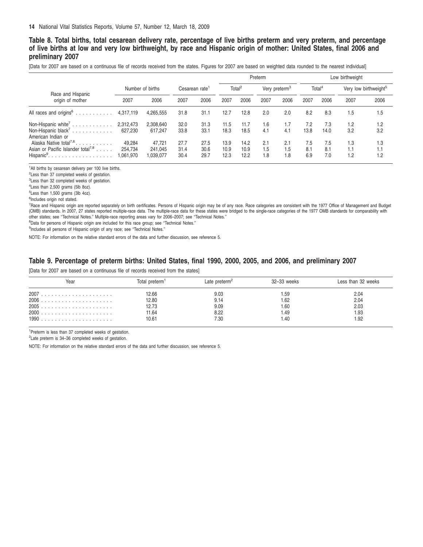## <span id="page-13-0"></span>Table 8. Total births, total cesarean delivery rate, percentage of live births preterm and very preterm, and percentage of live births at low and very low birthweight, by race and Hispanic origin of mother: United States, final 2006 and **preliminary 2007**

[Data for 2007 are based on a continuous file of records received from the states. Figures for 2007 are based on weighted data rounded to the nearest individual]

|                                                                                                                                |                                |                                |                      |                      |                      |                      | Preterm                   |                   |                    |                    | Low birthweight                   |                   |
|--------------------------------------------------------------------------------------------------------------------------------|--------------------------------|--------------------------------|----------------------|----------------------|----------------------|----------------------|---------------------------|-------------------|--------------------|--------------------|-----------------------------------|-------------------|
|                                                                                                                                | Number of births               |                                | Cesarean rate        |                      | Total <sup>2</sup>   |                      | Very preterm <sup>3</sup> |                   | Total <sup>4</sup> |                    | Very low birthweight <sup>5</sup> |                   |
| Race and Hispanic<br>origin of mother                                                                                          | 2007                           | 2006                           | 2007                 | 2006                 | 2007                 | 2006                 | 2007                      | 2006              | 2007               | 2006               | 2007                              | 2006              |
| All races and origins <sup>6</sup>                                                                                             | 4,317,119                      | 4,265,555                      | 31.8                 | 31.1                 | 12.7                 | 12.8                 | 2.0                       | 2.0               | 8.2                | 8.3                | 1.5                               | 1.5               |
| Non-Hispanic white <sup>7</sup><br>Non-Hispanic black <sup>7</sup><br>American Indian or<br>Alaska Native total <sup>7,8</sup> | 2,312,473<br>627.230<br>49.284 | 2.308.640<br>617.247<br>47.721 | 32.0<br>33.8<br>27.7 | 31.3<br>33.1<br>27.5 | 11.5<br>18.3<br>13.9 | 11.7<br>18.5<br>14.2 | 1.6<br>4.1<br>2.1         | 1.7<br>4.1<br>2.1 | 7.2<br>13.8<br>7.5 | 7.3<br>14.0<br>7.5 | 1.2<br>3.2<br>1.3                 | 1.2<br>3.2<br>1.3 |
| Asian or Pacific Islander total <sup>7,8</sup><br>$Hispanic9$                                                                  | 254.734<br>1,061,970           | 241.045<br>039,077             | 31.4<br>30.4         | 30.6<br>29.7         | 10.9<br>12.3         | 10.9<br>12.2         | 1.5<br>1.8                | 1.5<br>1.8        | 8.1<br>6.9         | 8.1<br>7.0         | 1.1<br>1.2                        | 1.1<br>1.2        |

<sup>1</sup>All births by cesarean delivery per 100 live births.

2 Less than 37 completed weeks of gestation.

<sup>3</sup> Less than 32 completed weeks of gestation.

4 Less than 2,500 grams (5lb 8oz).

5 Less than 1,500 grams (3lb 4oz).

6 Includes origin not stated.

7 Race and Hispanic origin are reported separately on birth certificates. Persons of Hispanic origin may be of any race. Race categories are consistent with the 1977 Office of Management and Budget (OMB) standards. In 2007, 27 states reported multiple-race data. The multiple-race data for these states were bridged to the single-race categories of the 1977 OMB standards for comparability with other states; see ''Technical Notes.'' Multiple-race reporting areas vary for 2006–2007; see ''Technical Notes.''

<sup>8</sup>Data for persons of Hispanic origin are included for this race group; see "Technical Notes."

<sup>9</sup>Includes all persons of Hispanic origin of any race; see "Technical Notes."

NOTE: For information on the relative standard errors of the data and further discussion, see reference 5.

#### Table 9. Percentage of preterm births: United States, final 1990, 2000, 2005, and 2006, and preliminary 2007

[Data for 2007 are based on a continuous file of records received from the states]

| Year | 「otal preterm' | Late preterm <sup>2</sup> | 32-33 weeks | Less than 32 weeks |
|------|----------------|---------------------------|-------------|--------------------|
|      | 2.66           | 9.03                      | .59         | 2.04               |
| 2006 | 12.80          | 9.14                      | 1.62        | 2.04               |
| 2005 | 12.73          | 9.09                      | 1.60        | 2.03               |
|      | 11.64          | 8.22                      | 1.49        | 1.93               |
|      | 10.61          | 7.30                      | 1.40        | 1.92               |

<sup>1</sup>Preterm is less than 37 completed weeks of gestation.

2 Late preterm is 34–36 completed weeks of gestation.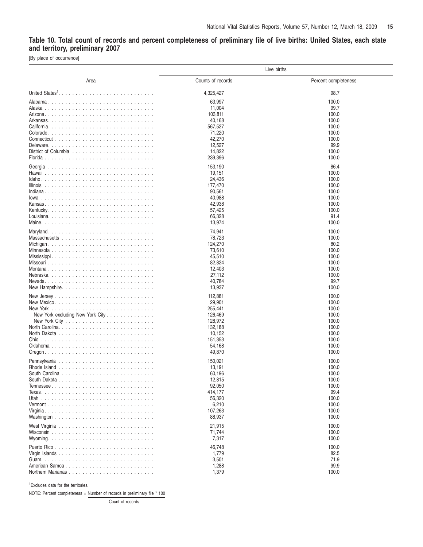## <span id="page-14-0"></span>Table 10. Total count of records and percent completeness of preliminary file of live births: United States, each state **and territory, preliminary 2007**

[By place of occurrence]

|                                  | Live births       |                      |
|----------------------------------|-------------------|----------------------|
| Area                             | Counts of records | Percent completeness |
|                                  | 4,325,427         | 98.7                 |
|                                  | 63,997            | 100.0                |
|                                  | 11,004            | 99.7                 |
|                                  | 103,811           | 100.0                |
|                                  | 40,168            | 100.0                |
|                                  | 567,527           | 100.0                |
|                                  | 71,220            | 100.0                |
|                                  | 42,270            | 100.0                |
|                                  | 12,527            | 99.9                 |
|                                  | 14,822            | 100.0                |
|                                  | 239,396           | 100.0                |
| Georgia                          | 153,190           | 86.4                 |
|                                  | 19,151            | 100.0                |
|                                  | 24,436            | 100.0                |
|                                  | 177,470           | 100.0                |
|                                  | 90,561            | 100.0                |
|                                  | 40,988            | 100.0                |
|                                  | 42,938            | 100.0                |
|                                  | 57,425            | 100.0                |
|                                  | 66,328            | 91.4                 |
|                                  | 13,974            | 100.0                |
|                                  | 74,941            | 100.0                |
|                                  | 78,723            | 100.0                |
|                                  | 124,270           | 80.2                 |
|                                  | 73,610            | 100.0                |
|                                  | 45,510            | 100.0                |
|                                  | 82,824            | 100.0                |
|                                  | 12,403<br>27,112  | 100.0<br>100.0       |
|                                  | 40,784            | 99.7                 |
|                                  | 13,937            | 100.0                |
|                                  |                   |                      |
|                                  | 112,881           | 100.0                |
|                                  | 29,901<br>255,441 | 100.0<br>100.0       |
| New York excluding New York City | 126,469           | 100.0                |
|                                  | 128,972           | 100.0                |
|                                  | 132,188           | 100.0                |
|                                  | 10.152            | 100.0                |
|                                  | 151,353           | 100.0                |
|                                  | 54,168            | 100.0                |
|                                  | 49,870            | 100.0                |
|                                  | 150,021           | 100.0                |
|                                  | 13,191            | 100.0                |
|                                  | 60,196            | 100.0                |
|                                  | 12,815            | 100.0                |
|                                  | 92,050            | 100.0                |
|                                  | 414,177           | 99.4                 |
|                                  | 56,320            | 100.0                |
|                                  | 6,210             | 100.0                |
|                                  | 107,263           | 100.0                |
|                                  | 88,937            | 100.0                |
|                                  | 21,915            | 100.0                |
|                                  | 71,744            | 100.0                |
|                                  | 7,317             | 100.0                |
|                                  | 46,748            | 100.0                |
|                                  | 1,779             | 82.5                 |
|                                  | 3,501             | 71.9                 |
| American Samoa                   | 1,288             | 99.9                 |
|                                  | 1,379             | 100.0                |

1 Excludes data for the territories.

NOTE: Percent completeness = Number of records in preliminary file \* 100

Count of records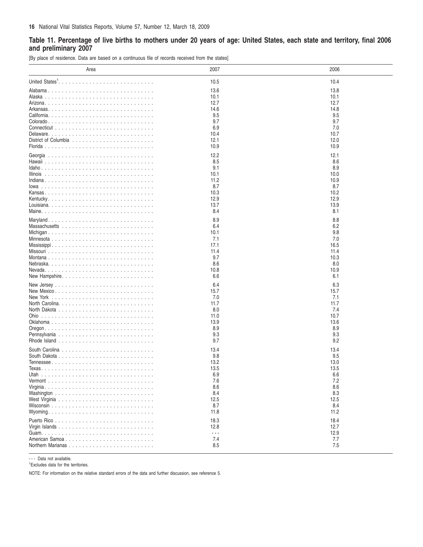## <span id="page-15-0"></span>Table 11. Percentage of live births to mothers under 20 years of age: United States, each state and territory, final 2006 **and preliminary 2007**

[By place of residence. Data are based on a continuous file of records received from the states]

| Area           | 2007                 | 2006 |
|----------------|----------------------|------|
|                | 10.5                 | 10.4 |
|                | 13.6                 | 13.8 |
|                | 10.1                 | 10.1 |
|                | 12.7                 | 12.7 |
|                | 14.6                 | 14.8 |
|                | 9.5                  | 9.5  |
|                | 9.7                  | 9.7  |
|                | 6.9                  | 7.0  |
|                |                      |      |
|                | 10.4                 | 10.7 |
|                | 12.1                 | 12.0 |
|                | 10.9                 | 10.9 |
|                | 12.2                 | 12.1 |
|                | 8.5                  | 8.6  |
|                | 9.1                  | 8.9  |
|                | 10.1                 | 10.0 |
|                | 11.2                 | 10.9 |
|                | 8.7                  | 8.7  |
|                | 10.3                 | 10.2 |
|                | 12.9                 | 12.9 |
|                | 13.7                 | 13.9 |
|                | 8.4                  | 8.1  |
|                |                      |      |
|                | 8.9                  | 8.8  |
|                | 6.4                  | 6.2  |
|                | 10.1                 | 9.8  |
|                | 7.1                  | 7.0  |
|                | 17.1                 | 16.5 |
|                | 11.4                 | 11.4 |
|                | 9.7                  | 10.3 |
|                | 8.6                  | 8.0  |
|                | 10.8                 | 10.9 |
|                | 6.6                  | 6.1  |
|                |                      |      |
|                | 6.4                  | 6.3  |
|                | 15.7                 | 15.7 |
|                | 7.0                  | 7.1  |
|                | 11.7                 | 11.7 |
|                | 8.0                  | 7.4  |
|                | 11.0                 | 10.7 |
|                | 13.9                 | 13.6 |
|                | 8.9                  | 8.9  |
|                | 9.3                  | 9.3  |
|                | 9.7                  | 9.2  |
|                | 13.4                 | 13.4 |
|                | 9.8                  | 9.5  |
|                | 13.2                 | 13.0 |
|                | 13.5                 | 13.5 |
|                | 6.9                  | 6.6  |
|                | 7.6                  | 7.2  |
|                | 8.6                  | 8.6  |
|                | 8.4                  | 8.3  |
|                | 12.5                 | 12.5 |
|                | 8.7                  | 8.4  |
|                | 11.8                 | 11.2 |
|                |                      |      |
|                | 18.3                 | 18.4 |
|                | 12.8                 | 12.7 |
|                | $\sim$ $\sim$ $\sim$ | 12.9 |
| American Samoa | 7.4                  | 7.7  |
|                | 8.5                  | 7.5  |
|                |                      |      |

--- Data not available.

1 Excludes data for the territories.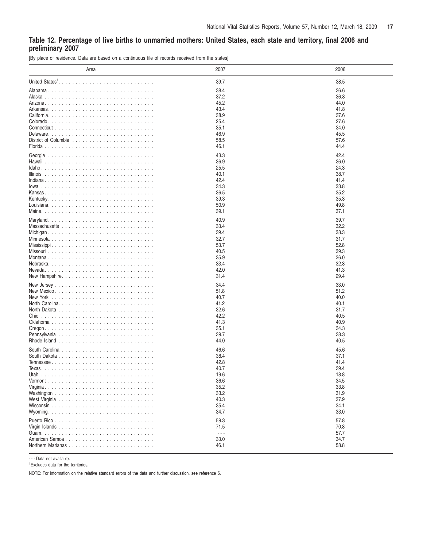## <span id="page-16-0"></span>Table 12. Percentage of live births to unmarried mothers: United States, each state and territory, final 2006 and **preliminary 2007**

[By place of residence. Data are based on a continuous file of records received from the states]

| Area                                                                    | 2007                 | 2006         |
|-------------------------------------------------------------------------|----------------------|--------------|
|                                                                         | 39.7                 | 38.5         |
|                                                                         | 38.4                 | 36.6         |
|                                                                         | 37.2                 | 36.8         |
|                                                                         | 45.2                 | 44.0         |
|                                                                         | 43.4                 | 41.8         |
|                                                                         | 38.9                 | 37.6         |
|                                                                         | 25.4                 | 27.6         |
|                                                                         | 35.1                 | 34.0         |
|                                                                         | 46.9                 | 45.5         |
| District of Columbia $\ldots \ldots \ldots \ldots \ldots \ldots \ldots$ | 58.5                 | 57.6         |
|                                                                         | 46.1                 | 44.4         |
|                                                                         |                      | 42.4         |
|                                                                         | 43.3                 |              |
|                                                                         | 36.9                 | 36.0         |
|                                                                         | 25.5<br>40.1         | 24.3<br>38.7 |
|                                                                         |                      | 41.4         |
|                                                                         | 42.4                 |              |
|                                                                         | 34.3                 | 33.8<br>35.2 |
|                                                                         | 36.5<br>39.3         | 35.3         |
|                                                                         | 50.9                 | 49.8         |
|                                                                         | 39.1                 | 37.1         |
|                                                                         |                      |              |
|                                                                         | 40.9                 | 39.7         |
|                                                                         | 33.4                 | 32.2         |
|                                                                         | 39.4                 | 38.3         |
|                                                                         | 32.7                 | 31.7         |
|                                                                         | 53.7                 | 52.8         |
|                                                                         | 40.5                 | 39.3         |
|                                                                         | 35.9                 | 36.0         |
|                                                                         | 33.4                 | 32.3         |
|                                                                         | 42.0                 | 41.3         |
|                                                                         | 31.4                 | 29.4         |
|                                                                         | 34.4                 | 33.0         |
|                                                                         | 51.8                 | 51.2         |
|                                                                         | 40.7                 | 40.0         |
|                                                                         | 41.2                 | 40.1         |
|                                                                         | 32.6                 | 31.7         |
|                                                                         | 42.2                 | 40.5         |
|                                                                         | 41.3                 | 40.9         |
|                                                                         | 35.1                 | 34.3         |
| Pennsylvania                                                            | 39.7                 | 38.3         |
|                                                                         | 44.0                 | 40.5         |
|                                                                         | 46.6                 | 45.6         |
|                                                                         | 38.4                 | 37.1         |
|                                                                         | 42.8                 | 41.4         |
|                                                                         | 40.7                 | 39.4         |
|                                                                         | 19.6                 | 18.8         |
|                                                                         | 36.6                 | 34.5         |
|                                                                         | 35.2                 | 33.8         |
|                                                                         | 33.2                 | 31.9         |
|                                                                         | 40.3                 | 37.9         |
|                                                                         | 35.4                 | 34.1         |
|                                                                         | 34.7                 | 33.0         |
|                                                                         | 59.3                 | 57.8         |
|                                                                         | 71.5                 | 70.8         |
|                                                                         | $\sim$ $\sim$ $\sim$ | 57.7         |
| American Samoa                                                          | 33.0                 | 34.7         |
|                                                                         | 46.1                 | 58.8         |
|                                                                         |                      |              |

- - - Data not available.

1 Excludes data for the territories.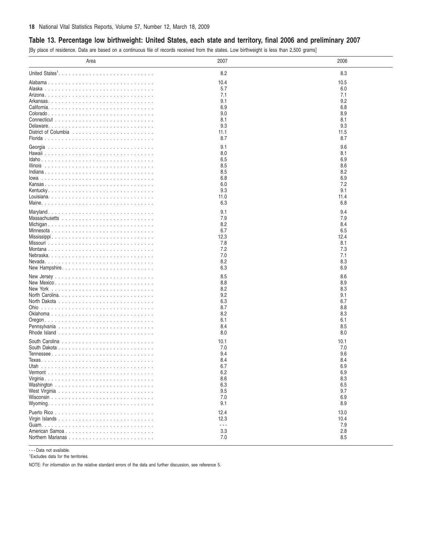## <span id="page-17-0"></span>**Table 13. Percentage low birthweight: United States, each state and territory, final 2006 and preliminary 2007**

[By place of residence. Data are based on a continuous file of records received from the states. Low birthweight is less than 2,500 grams]

| Area                                                                    | 2007                 | 2006 |
|-------------------------------------------------------------------------|----------------------|------|
|                                                                         | 8.2                  | 8.3  |
|                                                                         | 10.4                 | 10.5 |
|                                                                         | 5.7                  | 6.0  |
|                                                                         | 7.1                  | 7.1  |
|                                                                         | 9.1                  | 9.2  |
|                                                                         | 6.9                  | 6.8  |
|                                                                         | 9.0                  | 8.9  |
|                                                                         | 8.1                  | 8.1  |
|                                                                         | 9.3                  | 9.3  |
| District of Columbia $\ldots \ldots \ldots \ldots \ldots \ldots \ldots$ | 11.1                 | 11.5 |
|                                                                         | 8.7                  | 8.7  |
|                                                                         | 9.1                  | 9.6  |
|                                                                         | 8.0                  | 8.1  |
|                                                                         | 6.5                  | 6.9  |
|                                                                         | 8.5                  | 8.6  |
|                                                                         | 8.5                  | 8.2  |
|                                                                         | 6.8                  | 6.9  |
|                                                                         | 6.0                  | 7.2  |
|                                                                         | 9.3                  | 9.1  |
|                                                                         | 11.0                 | 11.4 |
|                                                                         | 6.3                  | 6.8  |
|                                                                         | 9.1                  | 9.4  |
|                                                                         | 7.9                  | 7.9  |
|                                                                         | 8.2                  | 8.4  |
|                                                                         | 6.7                  | 6.5  |
|                                                                         | 12.3                 | 12.4 |
|                                                                         | 7.8                  | 8.1  |
|                                                                         | 7.2                  | 7.3  |
|                                                                         | 7.0                  | 7.1  |
|                                                                         | 8.2                  | 8.3  |
|                                                                         | 6.3                  | 6.9  |
|                                                                         | 8.5                  | 8.6  |
|                                                                         | 8.8                  | 8.9  |
|                                                                         | 8.2                  | 8.3  |
|                                                                         | 9.2                  | 9.1  |
|                                                                         | 6.3                  | 6.7  |
|                                                                         | 8.7                  | 8.8  |
|                                                                         | 8.2                  | 8.3  |
|                                                                         | 6.1                  | 6.1  |
|                                                                         | 8.4                  | 8.5  |
|                                                                         | 8.0                  | 8.0  |
| South Carolina                                                          | 10.1                 | 10.1 |
|                                                                         | 7.0                  | 7.0  |
|                                                                         | 9.4                  | 9.6  |
|                                                                         | 8.4                  | 8.4  |
|                                                                         | 6.7                  | 6.9  |
|                                                                         | 6.2                  | 6.9  |
|                                                                         | 8.6                  | 8.3  |
|                                                                         | 6.3                  | 6.5  |
|                                                                         | 9.5                  | 9.7  |
|                                                                         | 7.0                  | 6.9  |
|                                                                         | 9.1                  | 8.9  |
|                                                                         | 12.4                 | 13.0 |
|                                                                         | 12.3                 | 10.4 |
|                                                                         | $\sim$ $\sim$ $\sim$ | 7.9  |
| American Samoa                                                          | 3.3                  | 2.8  |
|                                                                         | 7.0                  | 8.5  |
|                                                                         |                      |      |

- - - Data not available.

1 Excludes data for the territories.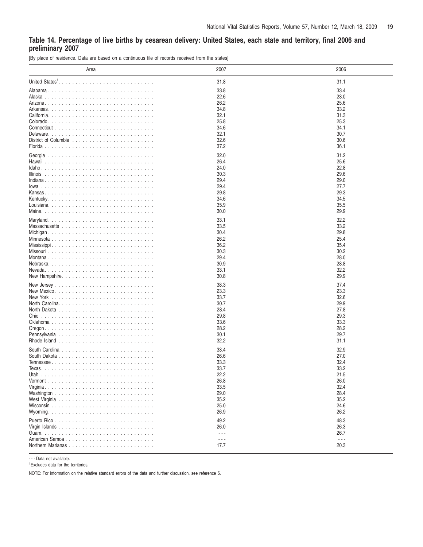### <span id="page-18-0"></span>Table 14. Percentage of live births by cesarean delivery: United States, each state and territory, final 2006 and **preliminary 2007**

[By place of residence. Data are based on a continuous file of records received from the states]

| Area                       | 2007                 | 2006                 |
|----------------------------|----------------------|----------------------|
| United States <sup>1</sup> | 31.8                 | 31.1                 |
|                            | 33.8                 | 33.4                 |
|                            | 22.6                 | 23.0                 |
|                            | 26.2                 | 25.6                 |
|                            | 34.8                 | 33.2                 |
|                            | 32.1                 | 31.3                 |
|                            | 25.8                 | 25.3                 |
|                            | 34.6                 | 34.1                 |
|                            | 32.1                 | 30.7                 |
|                            | 32.6                 | 30.6                 |
|                            | 37.2                 | 36.1                 |
|                            |                      |                      |
|                            | 32.0                 | 31.2                 |
|                            | 26.4                 | 25.6                 |
|                            | 24.0                 | 22.8                 |
|                            | 30.3                 | 29.6                 |
|                            | 29.4                 | 29.0                 |
|                            | 29.4                 | 27.7                 |
|                            | 29.8                 | 29.3                 |
|                            | 34.6                 | 34.5                 |
|                            | 35.9                 | 35.5                 |
|                            | 30.0                 | 29.9                 |
|                            | 33.1                 | 32.2                 |
|                            | 33.5                 | 33.2                 |
|                            | 30.4                 | 29.8                 |
|                            | 26.2                 | 25.4                 |
|                            | 36.2                 | 35.4                 |
|                            | 30.3                 | 30.2                 |
|                            | 29.4                 | 28.0                 |
|                            | 30.9                 | 28.8                 |
|                            | 33.1                 | 32.2                 |
|                            | 30.8                 | 29.9                 |
|                            |                      |                      |
|                            | 38.3                 | 37.4                 |
|                            | 23.3                 | 23.3                 |
|                            | 33.7                 | 32.6                 |
|                            | 30.7                 | 29.9                 |
|                            | 28.4                 | 27.8                 |
|                            | 29.8                 | 29.3                 |
|                            | 33.6                 | 33.3                 |
|                            | 28.2                 | 28.2                 |
|                            | 30.1                 | 29.7                 |
|                            | 32.2                 | 31.1                 |
|                            | 33.4                 | 32.9                 |
|                            | 26.6                 | 27.0                 |
|                            | 33.3                 | 32.4                 |
|                            | 33.7                 | 33.2                 |
|                            | 22.2                 | 21.5                 |
|                            | 26.8                 | 26.0                 |
|                            | 33.5                 | 32.4                 |
|                            | 29.0                 | 28.4                 |
|                            | 35.2                 | 35.2                 |
|                            | 25.0                 | 24.6                 |
|                            | 26.9                 | 26.2                 |
|                            |                      | 48.3                 |
|                            | 49.2<br>26.0         | 26.3                 |
|                            | $\sim$ $\sim$ $\sim$ | 26.7                 |
| American Samoa             | $\sim$ $\sim$ $\sim$ | $\sim$ $\sim$ $\sim$ |
|                            | 17.7                 | 20.3                 |
|                            |                      |                      |

- - - Data not available.

1 Excludes data for the territories.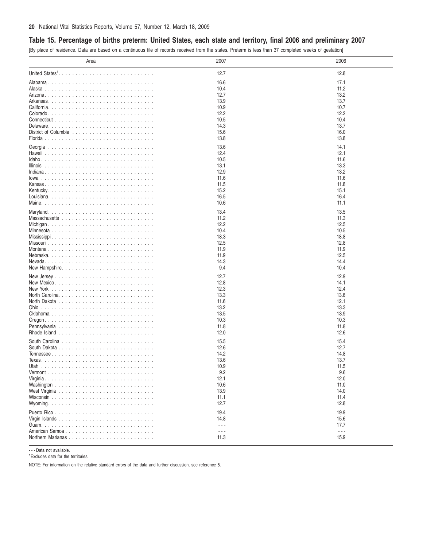## <span id="page-19-0"></span>Table 15. Percentage of births preterm: United States, each state and territory, final 2006 and preliminary 2007

[By place of residence. Data are based on a continuous file of records received from the states. Preterm is less than 37 completed weeks of gestation]

| Area           | 2007                 | 2006      |
|----------------|----------------------|-----------|
|                | 12.7                 | 12.8      |
|                | 16.6                 | 17.1      |
|                | 10.4                 | 11.2      |
|                | 12.7                 | 13.2      |
|                | 13.9                 | 13.7      |
|                | 10.9                 | 10.7      |
|                | 12.2                 | 12.2      |
|                | 10.5                 | 10.4      |
|                | 14.3                 | 13.7      |
|                | 15.6                 | 16.0      |
|                | 13.8                 | 13.8      |
|                |                      |           |
|                | 13.6                 | 14.1      |
|                | 12.4                 | 12.1      |
|                | 10.5                 | 11.6      |
|                | 13.1                 | 13.3      |
|                | 12.9                 | 13.2      |
|                | 11.6                 | 11.6      |
|                | 11.5                 | 11.8      |
|                | 15.2                 | 15.1      |
|                | 16.5                 | 16.4      |
|                | 10.6                 | 11.1      |
|                | 13.4                 | 13.5      |
|                | 11.2                 | 11.3      |
|                | 12.2                 | 12.5      |
|                | 10.4                 | 10.5      |
|                | 18.3                 | 18.8      |
|                | 12.5                 | 12.8      |
|                | 11.9                 | 11.9      |
|                | 11.9                 | 12.5      |
|                | 14.3                 | 14.4      |
| New Hampshire  | 9.4                  | 10.4      |
|                |                      |           |
|                | 12.7                 | 12.9      |
|                | 12.8                 | 14.1      |
|                | 12.3                 | 12.4      |
|                | 13.3                 | 13.6      |
|                | 11.6                 | 12.1      |
|                | 13.2                 | 13.3      |
|                | 13.5                 | 13.9      |
|                | 10.3                 | 10.3      |
|                | 11.8                 | 11.8      |
|                | 12.0                 | 12.6      |
|                | 15.5                 | 15.4      |
|                | 12.6                 | 12.7      |
|                | 14.2                 | 14.8      |
|                | 13.6                 | 13.7      |
|                | 10.9                 | 11.5      |
|                | 9.2                  | 9.6       |
|                | 12.1                 | 12.0      |
|                | 10.6                 | 11.0      |
|                | 13.9                 | 14.0      |
|                | 11.1                 | 11.4      |
|                | 12.7                 | 12.8      |
|                |                      |           |
|                | 19.4                 | 19.9      |
|                | 14.8                 | 15.6      |
|                | $\sim$ $\sim$ $\sim$ | 17.7      |
| American Samoa | $\sim$ $\sim$ $\sim$ | $\ddotsc$ |
|                | 11.3                 | 15.9      |

- - - Data not available.

1 Excludes data for the territories.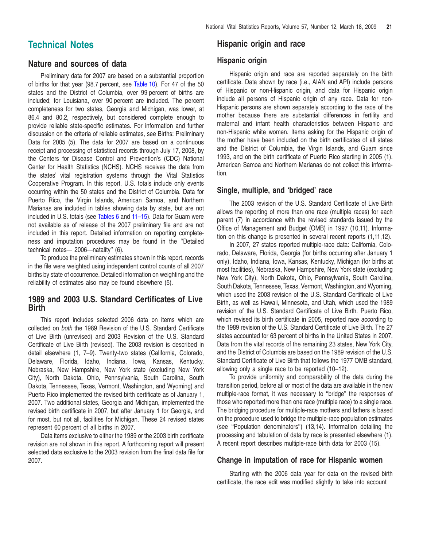## <span id="page-20-0"></span>**Technical Notes**

## **Nature and sources of data**

Preliminary data for 2007 are based on a substantial proportion of births for that year (98.7 percent, see [Table](#page-14-0) 10). For 47 of the 50 states and the District of Columbia, over 99 percent of births are included; for Louisiana, over 90 percent are included. The percent completeness for two states, Georgia and Michigan, was lower, at 86.4 and 80.2, respectively, but considered complete enough to provide reliable state-specific estimates. For information and further discussion on the criteria of reliable estimates, see Births: Preliminary Data for 2005 (5). The data for 2007 are based on a continuous receipt and processing of statistical records through July 17, 2008, by the Centers for Disease Control and Prevention's (CDC) National Center for Health Statistics (NCHS). NCHS receives the data from the states' vital registration systems through the Vital Statistics Cooperative Program. In this report, U.S. totals include only events occurring within the 50 states and the District of Columbia. Data for Puerto Rico, the Virgin Islands, American Samoa, and Northern Marianas are included in tables showing data by state, but are not included in U.S. totals (see [Tables](#page-11-0) 6 and [11–](#page-15-0)15). Data for Guam were not available as of release of the 2007 pr[elimin](#page-19-0)ary file and are not included in this report. Detailed information on reporting completeness and imputation procedures may be found in the ''Detailed technical notes— 2006—natality'' (6).

To produce the preliminary estimates shown in this report, records in the file were weighted using independent control counts of all 2007 births by state of occurrence. Detailed information on weighting and the reliability of estimates also may be found elsewhere (5).

## **1989 and 2003 U.S. Standard Certificates of Live Birth**

This report includes selected 2006 data on items which are collected on *both* the 1989 Revision of the U.S. Standard Certificate of Live Birth (unrevised) and 2003 Revision of the U.S. Standard Certificate of Live Birth (revised). The 2003 revision is described in detail elsewhere (1, 7–9). Twenty-two states (California, Colorado, Delaware, Florida, Idaho, Indiana, Iowa, Kansas, Kentucky, Nebraska, New Hampshire, New York state (excluding New York City), North Dakota, Ohio, Pennsylvania, South Carolina, South Dakota, Tennessee, Texas, Vermont, Washington, and Wyoming) and Puerto Rico implemented the revised birth certificate as of January 1, 2007. Two additional states, Georgia and Michigan, implemented the revised birth certificate in 2007, but after January 1 for Georgia, and for most, but not all, facilities for Michigan. These 24 revised states represent 60 percent of all births in 2007.

Data items exclusive to either the 1989 or the 2003 birth certificate revision are not shown in this report. A forthcoming report will present selected data exclusive to the 2003 revision from the final data file for 2007.

## **Hispanic origin and race**

## **Hispanic origin**

Hispanic origin and race are reported separately on the birth certificate. Data shown by race (i.e., AIAN and API) include persons of Hispanic or non-Hispanic origin, and data for Hispanic origin include all persons of Hispanic origin of any race. Data for non-Hispanic persons are shown separately according to the race of the mother because there are substantial differences in fertility and maternal and infant health characteristics between Hispanic and non-Hispanic white women. Items asking for the Hispanic origin of the mother have been included on the birth certificates of all states and the District of Columbia, the Virgin Islands, and Guam since 1993, and on the birth certificate of Puerto Rico starting in 2005 (1). American Samoa and Northern Marianas do not collect this information.

## **Single, multiple, and 'bridged' race**

The 2003 revision of the U.S. Standard Certificate of Live Birth allows the reporting of more than one race (multiple races) for each parent (7) in accordance with the revised standards issued by the Office of Management and Budget (OMB) in 1997 (10,11). Information on this change is presented in several recent reports (1,11,12).

In 2007, 27 states reported multiple-race data: California, Colorado, Delaware, Florida, Georgia (for births occurring after January 1 only), Idaho, Indiana, Iowa, Kansas, Kentucky, Michigan (for births at most facilities), Nebraska, New Hampshire, New York state (excluding New York City), North Dakota, Ohio, Pennsylvania, South Carolina, South Dakota, Tennessee, Texas, Vermont, Washington, and Wyoming, which used the 2003 revision of the U.S. Standard Certificate of Live Birth, as well as Hawaii, Minnesota, and Utah, which used the 1989 revision of the U.S. Standard Certificate of Live Birth. Puerto Rico, which revised its birth certificate in 2005, reported race according to the 1989 revision of the U.S. Standard Certificate of Live Birth. The 27 states accounted for 63 percent of births in the United States in 2007. Data from the vital records of the remaining 23 states, New York City, and the District of Columbia are based on the 1989 revision of the U.S. Standard Certificate of Live Birth that follows the 1977 OMB standard, allowing only a single race to be reported (10–12).

To provide uniformity and comparability of the data during the transition period, before all or most of the data are available in the new multiple-race format, it was necessary to ''bridge'' the responses of those who reported more than one race (multiple race) to a single race. The bridging procedure for multiple-race mothers and fathers is based on the procedure used to bridge the multiple-race population estimates (see ''Population denominators'') (13,14). Information detailing the processing and tabulation of data by race is presented elsewhere (1). A recent report describes multiple-race birth data for 2003 (15).

## **Change in imputation of race for Hispanic women**

Starting with the 2006 data year for data on the revised birth certificate, the race edit was modified slightly to take into account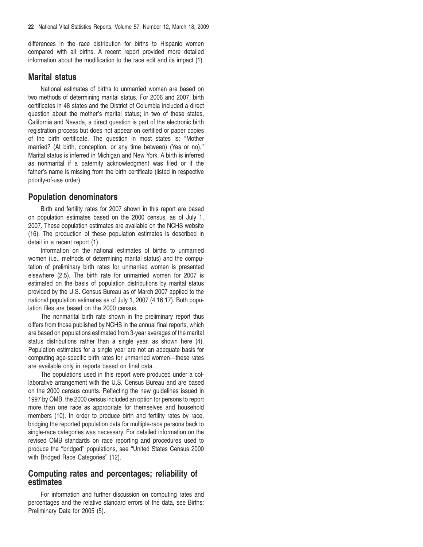differences in the race distribution for births to Hispanic women compared with all births. A recent report provided more detailed information about the modification to the race edit and its impact (1).

### **Marital status**

National estimates of births to unmarried women are based on two methods of determining marital status. For 2006 and 2007, birth certificates in 48 states and the District of Columbia included a direct question about the mother's marital status; in two of these states, California and Nevada, a direct question is part of the electronic birth registration process but does not appear on certified or paper copies of the birth certificate. The question in most states is: ''Mother married? (At birth, conception, or any time between) (Yes or no)." Marital status is inferred in Michigan and New York. A birth is inferred as nonmarital if a paternity acknowledgment was filed or if the father's name is missing from the birth certificate (listed in respective priority-of-use order).

## **Population denominators**

Birth and fertility rates for 2007 shown in this report are based on population estimates based on the 2000 census, as of July 1, 2007. These population estimates are available on the NCHS website (16). The production of these population estimates is described in detail in a recent report (1).

Information on the national estimates of births to unmarried women (i.e., methods of determining marital status) and the computation of preliminary birth rates for unmarried women is presented elsewhere (2,5). The birth rate for unmarried women for 2007 is estimated on the basis of population distributions by marital status provided by the U.S. Census Bureau as of March 2007 applied to the national population estimates as of July 1, 2007 (4,16,17). Both population files are based on the 2000 census.

The nonmarital birth rate shown in the preliminary report thus differs from those published by NCHS in the annual final reports, which are based on populations estimated from 3-year averages of the marital status distributions rather than a single year, as shown here (4). Population estimates for a single year are not an adequate basis for computing age-specific birth rates for unmarried women—these rates are available only in reports based on final data.

The populations used in this report were produced under a collaborative arrangement with the U.S. Census Bureau and are based on the 2000 census counts. Reflecting the new guidelines issued in 1997 by OMB, the 2000 census included an option for persons to report more than one race as appropriate for themselves and household members (10). In order to produce birth and fertility rates by race, bridging the reported population data for multiple-race persons back to single-race categories was necessary. For detailed information on the revised OMB standards on race reporting and procedures used to produce the ''bridged'' populations, see ''United States Census 2000 with Bridged Race Categories'' (12).

## **Computing rates and percentages; reliability of estimates**

For information and further discussion on computing rates and percentages and the relative standard errors of the data, see Births: Preliminary Data for 2005 (5).